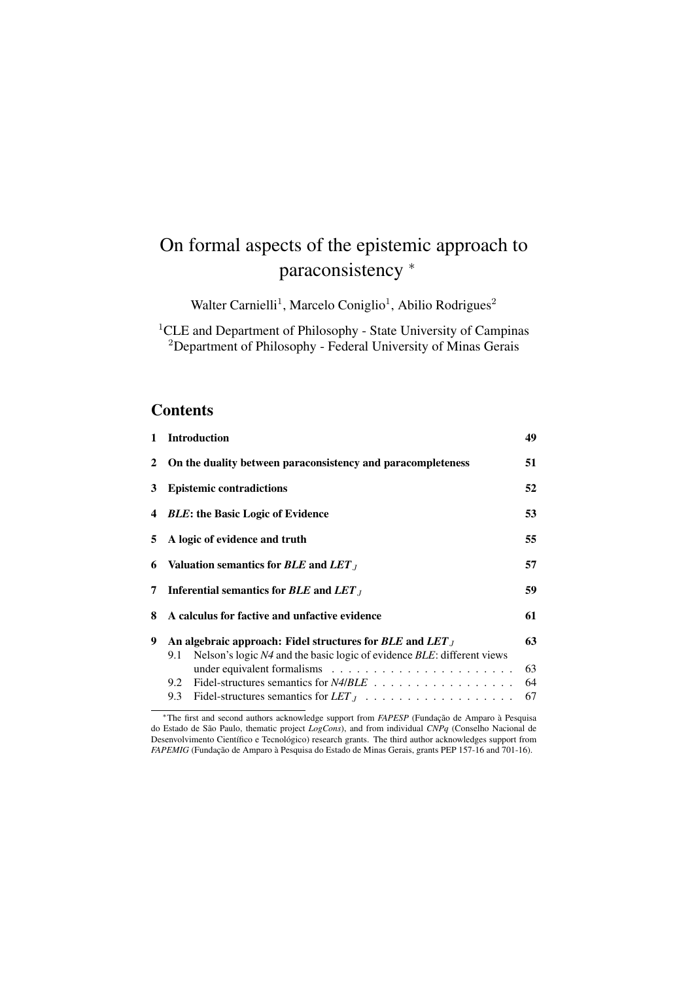# On formal aspects of the epistemic approach to paraconsistency  $*$

Walter Carnielli<sup>1</sup>, Marcelo Coniglio<sup>1</sup>, Abilio Rodrigues<sup>2</sup>

<sup>1</sup>CLE and Department of Philosophy - State University of Campinas <sup>2</sup>Department of Philosophy - Federal University of Minas Gerais

### **Contents**

| $\mathbf{1}$ | <b>Introduction</b>                                                                                                                            | 49             |  |  |  |  |  |  |  |
|--------------|------------------------------------------------------------------------------------------------------------------------------------------------|----------------|--|--|--|--|--|--|--|
|              | 2 On the duality between paraconsistency and paracompleteness                                                                                  | 51             |  |  |  |  |  |  |  |
| 3            | <b>Epistemic contradictions</b>                                                                                                                | 52             |  |  |  |  |  |  |  |
|              | 4 <i>BLE</i> : the Basic Logic of Evidence                                                                                                     | 53             |  |  |  |  |  |  |  |
|              | 5 A logic of evidence and truth                                                                                                                | 55             |  |  |  |  |  |  |  |
| 6            | Valuation semantics for $BLE$ and $LET_J$                                                                                                      | 57             |  |  |  |  |  |  |  |
| 7            | Inferential semantics for $BLE$ and $LET_J$                                                                                                    | 59             |  |  |  |  |  |  |  |
| 8            | A calculus for factive and unfactive evidence                                                                                                  |                |  |  |  |  |  |  |  |
| 9            | An algebraic approach: Fidel structures for $BLE$ and $LET_J$<br>Nelson's logic N4 and the basic logic of evidence BLE: different views<br>9.1 | 63<br>63<br>64 |  |  |  |  |  |  |  |
|              |                                                                                                                                                | 67             |  |  |  |  |  |  |  |
|              |                                                                                                                                                |                |  |  |  |  |  |  |  |

<sup>⇤</sup>The first and second authors acknowledge support from *FAPESP* (Fundação de Amparo à Pesquisa do Estado de São Paulo, thematic project *LogCons*), and from individual *CNPq* (Conselho Nacional de Desenvolvimento Científico e Tecnológico) research grants. The third author acknowledges support from *FAPEMIG* (Fundação de Amparo à Pesquisa do Estado de Minas Gerais, grants PEP 157-16 and 701-16).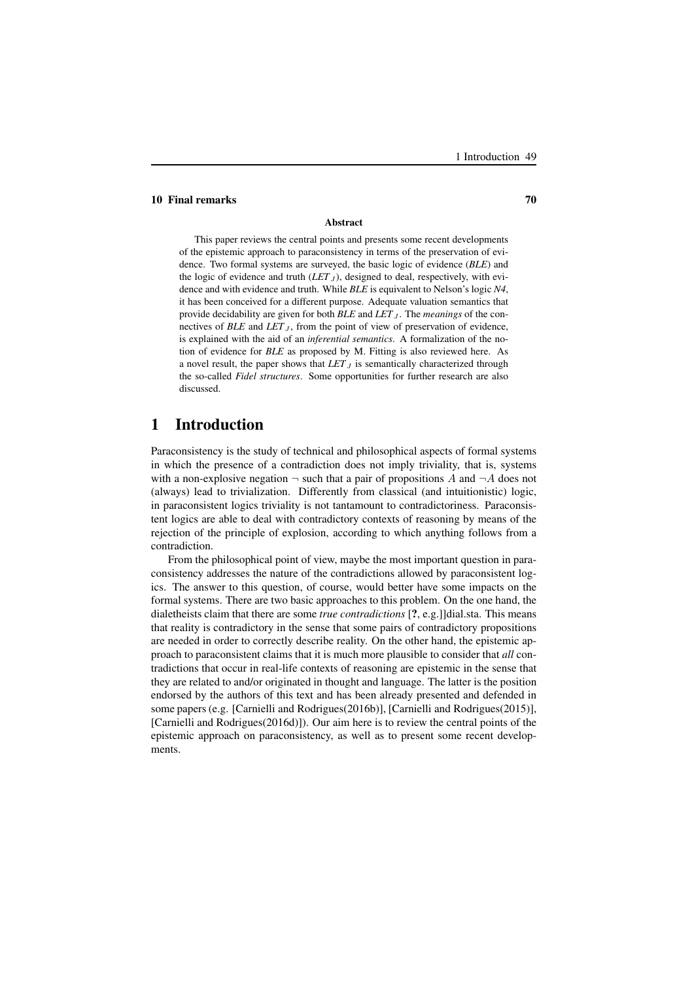#### 10 Final remarks 70

#### Abstract

This paper reviews the central points and presents some recent developments of the epistemic approach to paraconsistency in terms of the preservation of evidence. Two formal systems are surveyed, the basic logic of evidence (*BLE*) and the logic of evidence and truth  $(LET<sub>J</sub>)$ , designed to deal, respectively, with evidence and with evidence and truth. While *BLE* is equivalent to Nelson's logic *N4*, it has been conceived for a different purpose. Adequate valuation semantics that provide decidability are given for both *BLE* and *LET*<sub>J</sub>. The *meanings* of the connectives of  $BLE$  and  $LET_J$ , from the point of view of preservation of evidence, is explained with the aid of an *inferential semantics*. A formalization of the notion of evidence for *BLE* as proposed by M. Fitting is also reviewed here. As a novel result, the paper shows that  $LET_J$  is semantically characterized through the so-called *Fidel structures*. Some opportunities for further research are also discussed.

### 1 Introduction

Paraconsistency is the study of technical and philosophical aspects of formal systems in which the presence of a contradiction does not imply triviality, that is, systems with a non-explosive negation  $\neg$  such that a pair of propositions A and  $\neg A$  does not (always) lead to trivialization. Differently from classical (and intuitionistic) logic, in paraconsistent logics triviality is not tantamount to contradictoriness. Paraconsistent logics are able to deal with contradictory contexts of reasoning by means of the rejection of the principle of explosion, according to which anything follows from a contradiction.

From the philosophical point of view, maybe the most important question in paraconsistency addresses the nature of the contradictions allowed by paraconsistent logics. The answer to this question, of course, would better have some impacts on the formal systems. There are two basic approaches to this problem. On the one hand, the dialetheists claim that there are some *true contradictions* [?, e.g.]]dial.sta. This means that reality is contradictory in the sense that some pairs of contradictory propositions are needed in order to correctly describe reality. On the other hand, the epistemic approach to paraconsistent claims that it is much more plausible to consider that *all* contradictions that occur in real-life contexts of reasoning are epistemic in the sense that they are related to and/or originated in thought and language. The latter is the position endorsed by the authors of this text and has been already presented and defended in some papers (e.g. [Carnielli and Rodrigues(2016b)], [Carnielli and Rodrigues(2015)], [Carnielli and Rodrigues(2016d)]). Our aim here is to review the central points of the epistemic approach on paraconsistency, as well as to present some recent developments.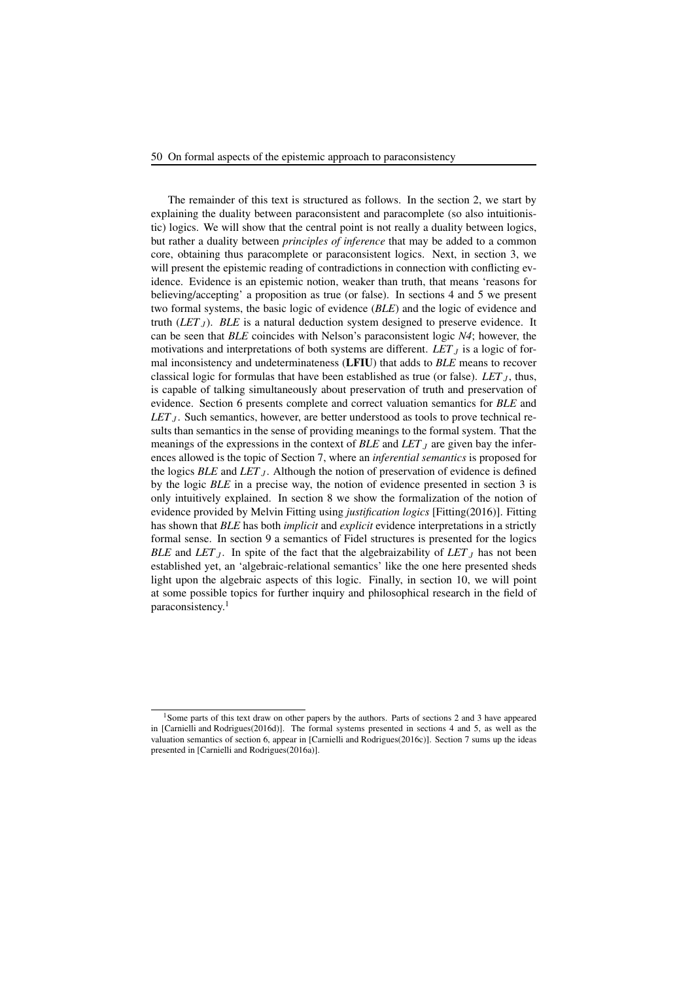#### 50 On formal aspects of the epistemic approach to paraconsistency

The remainder of this text is structured as follows. In the section 2, we start by explaining the duality between paraconsistent and paracomplete (so also intuitionistic) logics. We will show that the central point is not really a duality between logics, but rather a duality between *principles of inference* that may be added to a common core, obtaining thus paracomplete or paraconsistent logics. Next, in section 3, we will present the epistemic reading of contradictions in connection with conflicting evidence. Evidence is an epistemic notion, weaker than truth, that means 'reasons for believing/accepting' a proposition as true (or false). In sections 4 and 5 we present two formal systems, the basic logic of evidence (*BLE*) and the logic of evidence and truth  $(LET_J)$ . *BLE* is a natural deduction system designed to preserve evidence. It can be seen that *BLE* coincides with Nelson's paraconsistent logic *N4*; however, the motivations and interpretations of both systems are different.  $LET_J$  is a logic of formal inconsistency and undeterminateness (LFIU) that adds to *BLE* means to recover classical logic for formulas that have been established as true (or false).  $LET_J$ , thus, is capable of talking simultaneously about preservation of truth and preservation of evidence. Section 6 presents complete and correct valuation semantics for *BLE* and *LET* $<sub>J</sub>$ . Such semantics, however, are better understood as tools to prove technical re-</sub> sults than semantics in the sense of providing meanings to the formal system. That the meanings of the expressions in the context of *BLE* and *LET* $<sub>J</sub>$  are given bay the infer-</sub> ences allowed is the topic of Section 7, where an *inferential semantics* is proposed for the logics *BLE* and *LET*<sub>J</sub>. Although the notion of preservation of evidence is defined by the logic *BLE* in a precise way, the notion of evidence presented in section 3 is only intuitively explained. In section 8 we show the formalization of the notion of evidence provided by Melvin Fitting using *justification logics* [Fitting(2016)]. Fitting has shown that *BLE* has both *implicit* and *explicit* evidence interpretations in a strictly formal sense. In section 9 a semantics of Fidel structures is presented for the logics *BLE* and *LET*<sub>J</sub>. In spite of the fact that the algebraizability of *LET*<sub>J</sub> has not been established yet, an 'algebraic-relational semantics' like the one here presented sheds light upon the algebraic aspects of this logic. Finally, in section 10, we will point at some possible topics for further inquiry and philosophical research in the field of paraconsistency.<sup>1</sup>

<sup>&</sup>lt;sup>1</sup>Some parts of this text draw on other papers by the authors. Parts of sections 2 and 3 have appeared in [Carnielli and Rodrigues(2016d)]. The formal systems presented in sections 4 and 5, as well as the valuation semantics of section 6, appear in [Carnielli and Rodrigues(2016c)]. Section 7 sums up the ideas presented in [Carnielli and Rodrigues(2016a)].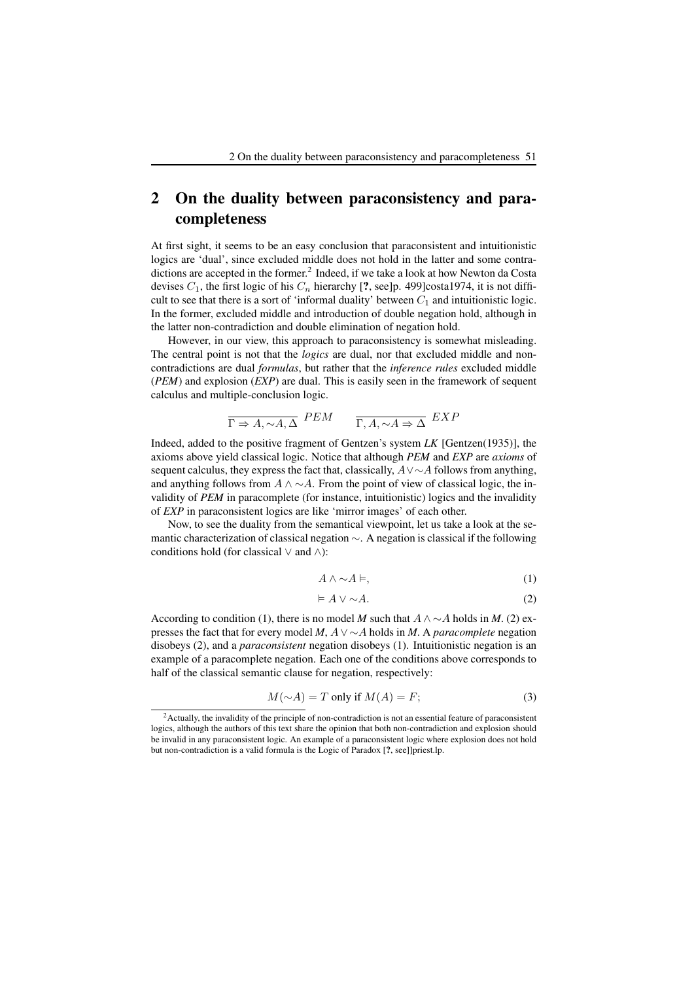# 2 On the duality between paraconsistency and paracompleteness

At first sight, it seems to be an easy conclusion that paraconsistent and intuitionistic logics are 'dual', since excluded middle does not hold in the latter and some contradictions are accepted in the former.<sup>2</sup> Indeed, if we take a look at how Newton da Costa devises  $C_1$ , the first logic of his  $C_n$  hierarchy [?, see]p. 499]costa1974, it is not difficult to see that there is a sort of 'informal duality' between  $C_1$  and intuitionistic logic. In the former, excluded middle and introduction of double negation hold, although in the latter non-contradiction and double elimination of negation hold.

However, in our view, this approach to paraconsistency is somewhat misleading. The central point is not that the *logics* are dual, nor that excluded middle and noncontradictions are dual *formulas*, but rather that the *inference rules* excluded middle (*PEM*) and explosion (*EXP*) are dual. This is easily seen in the framework of sequent calculus and multiple-conclusion logic.

$$
\overline{\Gamma \Rightarrow A, \sim A, \Delta} \quad PEM \qquad \overline{\Gamma, A, \sim A \Rightarrow \Delta} \quad EXP
$$

Indeed, added to the positive fragment of Gentzen's system *LK* [Gentzen(1935)], the axioms above yield classical logic. Notice that although *PEM* and *EXP* are *axioms* of sequent calculus, they express the fact that, classically,  $A \vee \sim A$  follows from anything, and anything follows from  $A \wedge \neg A$ . From the point of view of classical logic, the invalidity of *PEM* in paracomplete (for instance, intuitionistic) logics and the invalidity of *EXP* in paraconsistent logics are like 'mirror images' of each other.

Now, to see the duality from the semantical viewpoint, let us take a look at the semantic characterization of classical negation  $\sim$ . A negation is classical if the following conditions hold (for classical  $\vee$  and  $\wedge$ ):

$$
A \wedge \sim A \models, \tag{1}
$$

$$
\models A \lor \sim A. \tag{2}
$$

According to condition (1), there is no model *M* such that  $A \wedge \sim A$  holds in *M*. (2) expresses the fact that for every model *M*,  $A \vee \sim A$  holds in *M*. A *paracomplete* negation disobeys (2), and a *paraconsistent* negation disobeys (1). Intuitionistic negation is an example of a paracomplete negation. Each one of the conditions above corresponds to half of the classical semantic clause for negation, respectively:

$$
M(\sim A) = T \text{ only if } M(A) = F;
$$
\n(3)

<sup>&</sup>lt;sup>2</sup> Actually, the invalidity of the principle of non-contradiction is not an essential feature of paraconsistent logics, although the authors of this text share the opinion that both non-contradiction and explosion should be invalid in any paraconsistent logic. An example of a paraconsistent logic where explosion does not hold but non-contradiction is a valid formula is the Logic of Paradox [?, see]]priest.lp.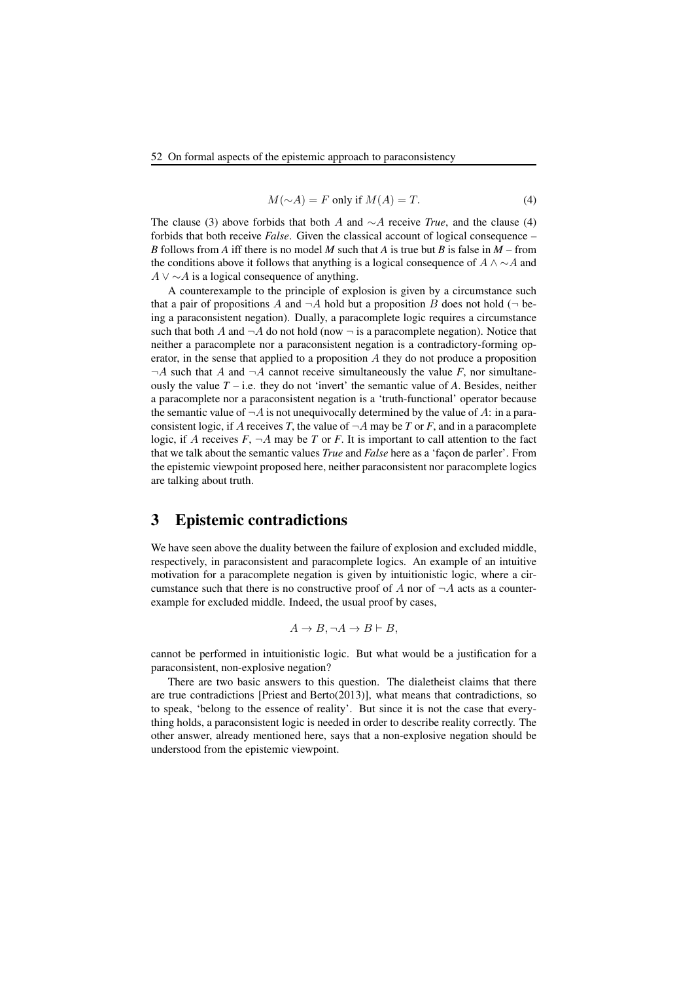$$
M(\sim A) = F \text{ only if } M(A) = T. \tag{4}
$$

The clause (3) above forbids that both A and  $\sim A$  receive *True*, and the clause (4) forbids that both receive *False*. Given the classical account of logical consequence – *B* follows from *A* iff there is no model *M* such that *A* is true but *B* is false in *M* – from the conditions above it follows that anything is a logical consequence of  $A \wedge \neg A$  and  $A \vee \sim A$  is a logical consequence of anything.

A counterexample to the principle of explosion is given by a circumstance such that a pair of propositions A and  $\neg A$  hold but a proposition B does not hold ( $\neg$  being a paraconsistent negation). Dually, a paracomplete logic requires a circumstance such that both A and  $\neg A$  do not hold (now  $\neg$  is a paracomplete negation). Notice that neither a paracomplete nor a paraconsistent negation is a contradictory-forming operator, in the sense that applied to a proposition  $A$  they do not produce a proposition  $\neg A$  such that A and  $\neg A$  cannot receive simultaneously the value F, nor simultaneously the value  $T - i.e.$  they do not 'invert' the semantic value of  $A$ . Besides, neither a paracomplete nor a paraconsistent negation is a 'truth-functional' operator because the semantic value of  $\neg A$  is not unequivocally determined by the value of A: in a paraconsistent logic, if A receives *T*, the value of  $\neg A$  may be *T* or *F*, and in a paracomplete logic, if A receives  $F$ ,  $\neg A$  may be T or F. It is important to call attention to the fact that we talk about the semantic values *True* and *False* here as a 'façon de parler'. From the epistemic viewpoint proposed here, neither paraconsistent nor paracomplete logics are talking about truth.

### 3 Epistemic contradictions

We have seen above the duality between the failure of explosion and excluded middle, respectively, in paraconsistent and paracomplete logics. An example of an intuitive motivation for a paracomplete negation is given by intuitionistic logic, where a circumstance such that there is no constructive proof of A nor of  $\neg A$  acts as a counterexample for excluded middle. Indeed, the usual proof by cases,

$$
A \to B, \neg A \to B \vdash B,
$$

cannot be performed in intuitionistic logic. But what would be a justification for a paraconsistent, non-explosive negation?

There are two basic answers to this question. The dialetheist claims that there are true contradictions [Priest and Berto(2013)], what means that contradictions, so to speak, 'belong to the essence of reality'. But since it is not the case that everything holds, a paraconsistent logic is needed in order to describe reality correctly. The other answer, already mentioned here, says that a non-explosive negation should be understood from the epistemic viewpoint.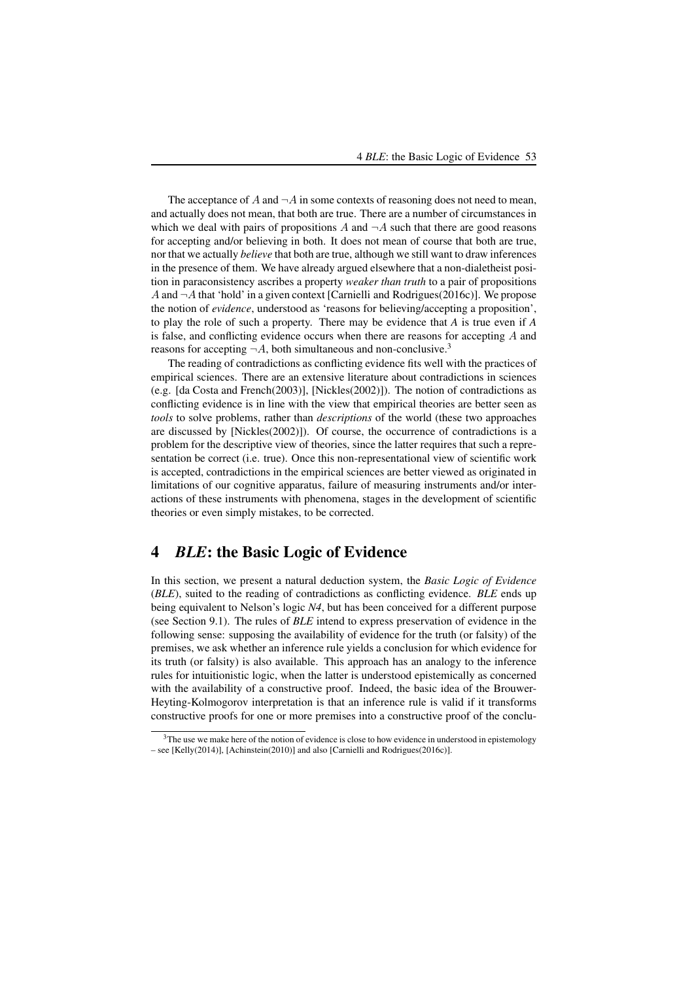The acceptance of A and  $\neg A$  in some contexts of reasoning does not need to mean, and actually does not mean, that both are true. There are a number of circumstances in which we deal with pairs of propositions A and  $\neg A$  such that there are good reasons for accepting and/or believing in both. It does not mean of course that both are true, nor that we actually *believe* that both are true, although we still want to draw inferences in the presence of them. We have already argued elsewhere that a non-dialetheist position in paraconsistency ascribes a property *weaker than truth* to a pair of propositions A and  $\neg A$  that 'hold' in a given context [Carnielli and Rodrigues(2016c)]. We propose the notion of *evidence*, understood as 'reasons for believing/accepting a proposition', to play the role of such a property. There may be evidence that *A* is true even if *A* is false, and conflicting evidence occurs when there are reasons for accepting A and reasons for accepting  $\neg A$ , both simultaneous and non-conclusive.<sup>3</sup>

The reading of contradictions as conflicting evidence fits well with the practices of empirical sciences. There are an extensive literature about contradictions in sciences (e.g. [da Costa and French(2003)], [Nickles(2002)]). The notion of contradictions as conflicting evidence is in line with the view that empirical theories are better seen as *tools* to solve problems, rather than *descriptions* of the world (these two approaches are discussed by [Nickles(2002)]). Of course, the occurrence of contradictions is a problem for the descriptive view of theories, since the latter requires that such a representation be correct (i.e. true). Once this non-representational view of scientific work is accepted, contradictions in the empirical sciences are better viewed as originated in limitations of our cognitive apparatus, failure of measuring instruments and/or interactions of these instruments with phenomena, stages in the development of scientific theories or even simply mistakes, to be corrected.

### 4 *BLE*: the Basic Logic of Evidence

In this section, we present a natural deduction system, the *Basic Logic of Evidence* (*BLE*), suited to the reading of contradictions as conflicting evidence. *BLE* ends up being equivalent to Nelson's logic *N4*, but has been conceived for a different purpose (see Section 9.1). The rules of *BLE* intend to express preservation of evidence in the following sense: supposing the availability of evidence for the truth (or falsity) of the premises, we ask whether an inference rule yields a conclusion for which evidence for its truth (or falsity) is also available. This approach has an analogy to the inference rules for intuitionistic logic, when the latter is understood epistemically as concerned with the availability of a constructive proof. Indeed, the basic idea of the Brouwer-Heyting-Kolmogorov interpretation is that an inference rule is valid if it transforms constructive proofs for one or more premises into a constructive proof of the conclu-

 $3$ The use we make here of the notion of evidence is close to how evidence in understood in epistemology – see [Kelly(2014)], [Achinstein(2010)] and also [Carnielli and Rodrigues(2016c)].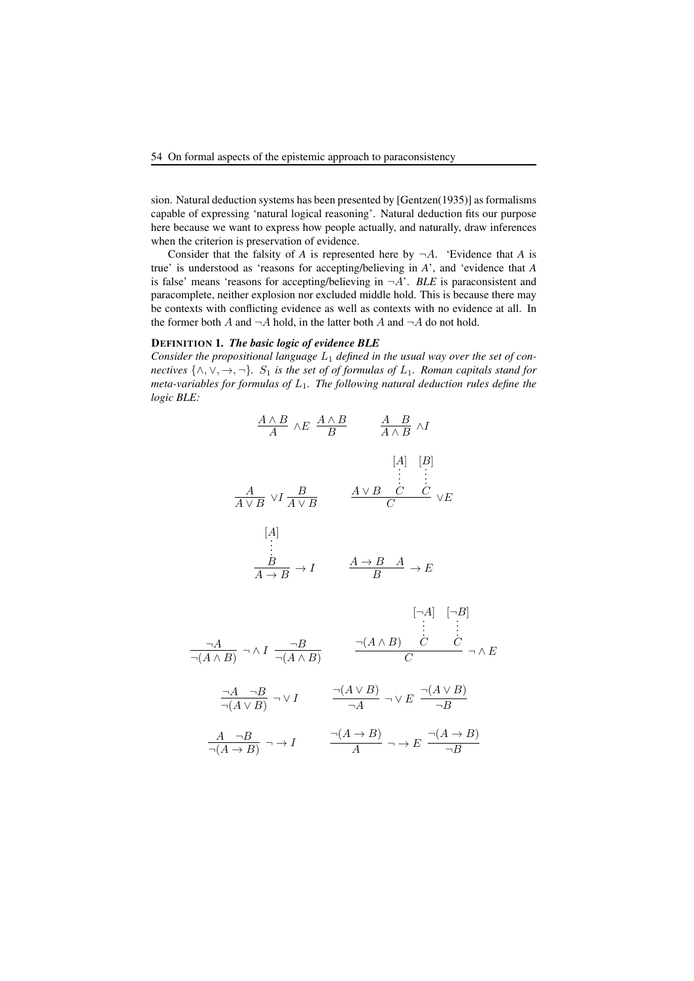sion. Natural deduction systems has been presented by [Gentzen(1935)] as formalisms capable of expressing 'natural logical reasoning'. Natural deduction fits our purpose here because we want to express how people actually, and naturally, draw inferences when the criterion is preservation of evidence.

Consider that the falsity of *A* is represented here by  $\neg A$ . 'Evidence that *A* is true' is understood as 'reasons for accepting/believing in *A*', and 'evidence that *A* is false' means 'reasons for accepting/believing in  $\neg A$ '. *BLE* is paraconsistent and paracomplete, neither explosion nor excluded middle hold. This is because there may be contexts with conflicting evidence as well as contexts with no evidence at all. In the former both A and  $\neg A$  hold, in the latter both A and  $\neg A$  do not hold.

#### DEFINITION 1. *The basic logic of evidence BLE*

Consider the propositional language  $L_1$  defined in the usual way over the set of con*nectives*  $\{\wedge, \vee, \rightarrow, \neg\}$ *.*  $S_1$  *is the set of of formulas of*  $L_1$ *. Roman capitals stand for meta-variables for formulas of* L1*. The following natural deduction rules define the logic BLE:*

$$
\frac{A \land B}{A} \land E \frac{A \land B}{B} \qquad \frac{A \quad B}{A \land B} \land I
$$
\n
$$
[A] \quad [B]
$$
\n
$$
\frac{A}{A \lor B} \lor I \frac{B}{A \lor B} \qquad \frac{A \lor B \quad C \quad C}{C} \lor E
$$
\n
$$
[A]
$$
\n
$$
\vdots
$$
\n
$$
\frac{B}{A \to B} \to I \qquad \frac{A \to B \quad A}{B} \to E
$$

$$
\frac{\neg A}{\neg(A \land B)} \neg \land I \frac{\neg B}{\neg(A \land B)} \qquad \frac{\neg(A \land B)}{C} \qquad \frac{\neg(A \land B)}{C} \qquad \neg \land E
$$
\n
$$
\frac{\neg A}{\neg(A \lor B)} \neg \lor I \qquad \frac{\neg(A \lor B)}{\neg A} \neg \lor E \qquad \frac{\neg(A \lor B)}{\neg B}
$$
\n
$$
\frac{A}{\neg(A \to B)} \neg \to I \qquad \frac{\neg(A \to B)}{A} \qquad \neg \land E \qquad \frac{\neg(A \to B)}{\neg B}
$$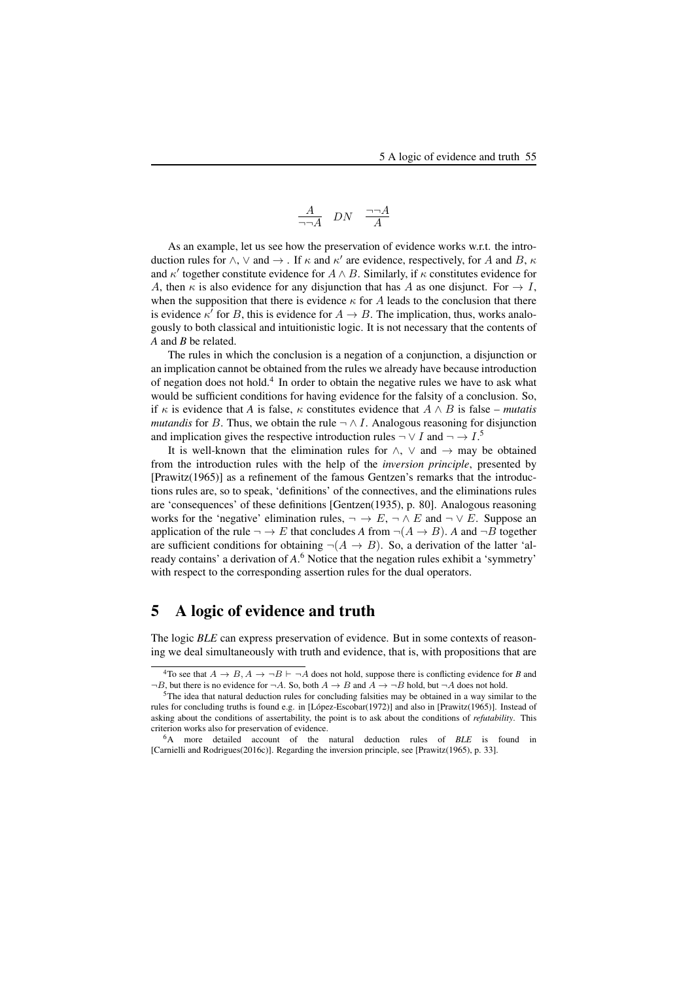$$
\frac{A}{\neg\neg A} \quad DN \quad \frac{\neg\neg A}{A}
$$

As an example, let us see how the preservation of evidence works w.r.t. the introduction rules for  $\wedge$ ,  $\vee$  and  $\rightarrow$  . If  $\kappa$  and  $\kappa'$  are evidence, respectively, for A and B,  $\kappa$ and  $\kappa'$  together constitute evidence for  $A \wedge B$ . Similarly, if  $\kappa$  constitutes evidence for A, then  $\kappa$  is also evidence for any disjunction that has A as one disjunct. For  $\rightarrow$  I, when the supposition that there is evidence  $\kappa$  for A leads to the conclusion that there is evidence  $\kappa'$  for B, this is evidence for  $A \to B$ . The implication, thus, works analogously to both classical and intuitionistic logic. It is not necessary that the contents of *A* and *B* be related.

The rules in which the conclusion is a negation of a conjunction, a disjunction or an implication cannot be obtained from the rules we already have because introduction of negation does not hold.<sup>4</sup> In order to obtain the negative rules we have to ask what would be sufficient conditions for having evidence for the falsity of a conclusion. So, if  $\kappa$  is evidence that *A* is false,  $\kappa$  constitutes evidence that  $A \wedge B$  is false – *mutatis mutandis* for B. Thus, we obtain the rule  $\neg \wedge I$ . Analogous reasoning for disjunction and implication gives the respective introduction rules  $\neg \vee I$  and  $\neg \rightarrow I$ .<sup>5</sup>

It is well-known that the elimination rules for  $\wedge$ ,  $\vee$  and  $\rightarrow$  may be obtained from the introduction rules with the help of the *inversion principle*, presented by [Prawitz(1965)] as a refinement of the famous Gentzen's remarks that the introductions rules are, so to speak, 'definitions' of the connectives, and the eliminations rules are 'consequences' of these definitions [Gentzen(1935), p. 80]. Analogous reasoning works for the 'negative' elimination rules,  $\neg \rightarrow E$ ,  $\neg \land E$  and  $\neg \lor E$ . Suppose an application of the rule  $\neg \rightarrow E$  that concludes *A* from  $\neg (A \rightarrow B)$ . *A* and  $\neg B$  together are sufficient conditions for obtaining  $\neg(A \rightarrow B)$ . So, a derivation of the latter 'already contains' a derivation of *A*. <sup>6</sup> Notice that the negation rules exhibit a 'symmetry' with respect to the corresponding assertion rules for the dual operators.

### 5 A logic of evidence and truth

The logic *BLE* can express preservation of evidence. But in some contexts of reasoning we deal simultaneously with truth and evidence, that is, with propositions that are

<sup>&</sup>lt;sup>4</sup>To see that  $A \rightarrow B$ ,  $A \rightarrow \neg B \vdash \neg A$  does not hold, suppose there is conflicting evidence for *B* and  $\neg B$ , but there is no evidence for  $\neg A$ . So, both  $A \rightarrow B$  and  $A \rightarrow \neg B$  hold, but  $\neg A$  does not hold.

<sup>&</sup>lt;sup>5</sup>The idea that natural deduction rules for concluding falsities may be obtained in a way similar to the rules for concluding truths is found e.g. in [López-Escobar(1972)] and also in [Prawitz(1965)]. Instead of asking about the conditions of assertability, the point is to ask about the conditions of *refutability*. This criterion works also for preservation of evidence.

<sup>6</sup>A more detailed account of the natural deduction rules of *BLE* is found in [Carnielli and Rodrigues(2016c)]. Regarding the inversion principle, see [Prawitz(1965), p. 33].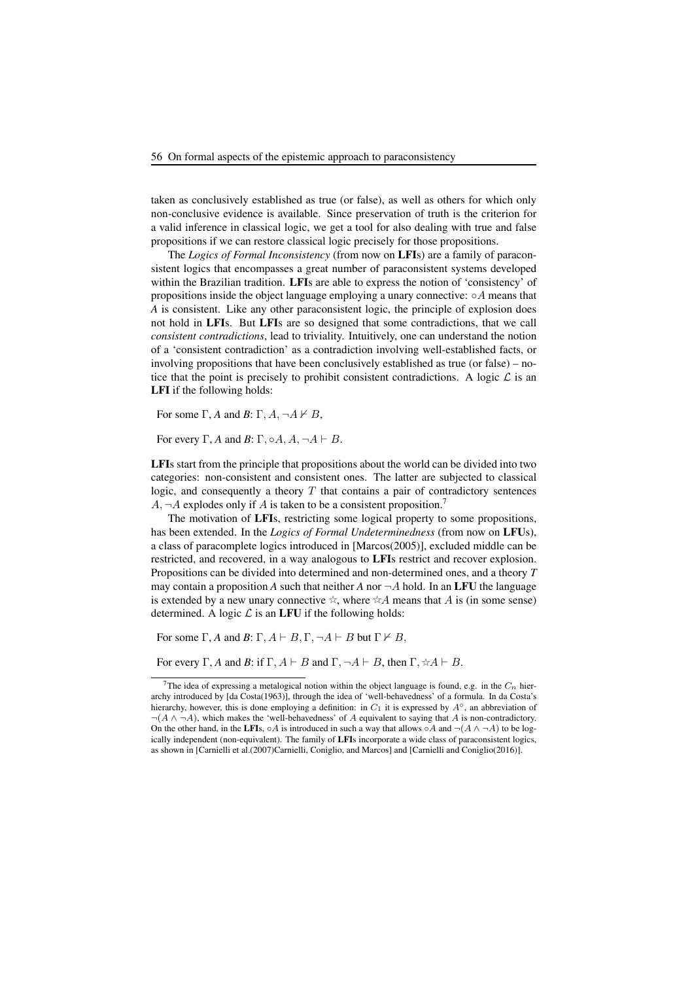taken as conclusively established as true (or false), as well as others for which only non-conclusive evidence is available. Since preservation of truth is the criterion for a valid inference in classical logic, we get a tool for also dealing with true and false propositions if we can restore classical logic precisely for those propositions.

The *Logics of Formal Inconsistency* (from now on LFIs) are a family of paraconsistent logics that encompasses a great number of paraconsistent systems developed within the Brazilian tradition. LFIs are able to express the notion of 'consistency' of propositions inside the object language employing a unary connective:  $\circ A$  means that *A* is consistent. Like any other paraconsistent logic, the principle of explosion does not hold in LFIs. But LFIs are so designed that some contradictions, that we call *consistent contradictions*, lead to triviality. Intuitively, one can understand the notion of a 'consistent contradiction' as a contradiction involving well-established facts, or involving propositions that have been conclusively established as true (or false) – notice that the point is precisely to prohibit consistent contradictions. A logic  $\mathcal L$  is an LFI if the following holds:

For some  $\Gamma$ , *A* and *B*:  $\Gamma$ , *A*,  $\neg$ *A*  $\nvdash$  *B*,

For every  $\Gamma$ , *A* and *B*:  $\Gamma$ ,  $\circ$ *A*, *A*,  $\neg$ *A*  $\vdash$  *B*.

LFIs start from the principle that propositions about the world can be divided into two categories: non-consistent and consistent ones. The latter are subjected to classical logic, and consequently a theory  $T$  that contains a pair of contradictory sentences  $A, \neg A$  explodes only if A is taken to be a consistent proposition.<sup>7</sup>

The motivation of LFIs, restricting some logical property to some propositions, has been extended. In the *Logics of Formal Undeterminedness* (from now on LFUs), a class of paracomplete logics introduced in [Marcos(2005)], excluded middle can be restricted, and recovered, in a way analogous to LFIs restrict and recover explosion. Propositions can be divided into determined and non-determined ones, and a theory *T* may contain a proposition *A* such that neither *A* nor  $\neg A$  hold. In an LFU the language is extended by a new unary connective  $\dot{\varphi}$ , where  $\dot{\varphi}$  means that A is (in some sense) determined. A logic  $\mathcal L$  is an LFU if the following holds:

For some  $\Gamma$ , *A* and *B*:  $\Gamma$ ,  $A \vdash B$ ,  $\Gamma$ ,  $\neg A \vdash B$  but  $\Gamma \nvdash B$ ,

For every  $\Gamma$ , *A* and *B*: if  $\Gamma$ ,  $A \vdash B$  and  $\Gamma$ ,  $\neg A \vdash B$ , then  $\Gamma$ ,  $\forall A \vdash B$ .

<sup>&</sup>lt;sup>7</sup>The idea of expressing a metalogical notion within the object language is found, e.g. in the  $C_n$  hierarchy introduced by [da Costa(1963)], through the idea of 'well-behavedness' of a formula. In da Costa's hierarchy, however, this is done employing a definition: in  $C_1$  it is expressed by  $A^\circ$ , an abbreviation of  $\neg(A \land \neg A)$ , which makes the 'well-behavedness' of A equivalent to saying that A is non-contradictory. On the other hand, in the LFIs,  $\circ A$  is introduced in such a way that allows  $\circ A$  and  $\neg(A \land \neg A)$  to be logically independent (non-equivalent). The family of LFIs incorporate a wide class of paraconsistent logics, as shown in [Carnielli et al.(2007)Carnielli, Coniglio, and Marcos] and [Carnielli and Coniglio(2016)].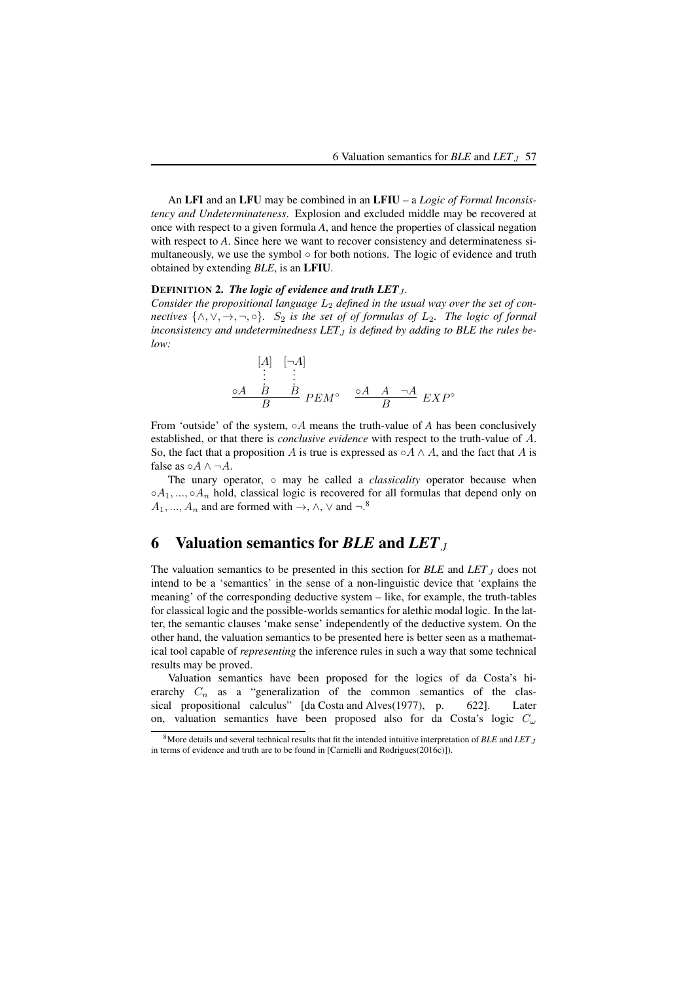An LFI and an LFU may be combined in an LFIU – a *Logic of Formal Inconsistency and Undeterminateness*. Explosion and excluded middle may be recovered at once with respect to a given formula *A*, and hence the properties of classical negation with respect to A. Since here we want to recover consistency and determinateness simultaneously, we use the symbol  $\circ$  for both notions. The logic of evidence and truth obtained by extending *BLE*, is an LFIU.

#### DEFINITION 2. *The logic of evidence and truth LET j*.

Consider the propositional language  $L_2$  defined in the usual way over the set of con*nectives*  $\{\wedge, \vee, \rightarrow, \neg, \circ\}$ *.* S<sub>2</sub> *is the set of of formulas of*  $L_2$ *. The logic of formal*  $inconsistency$  and undeterminedness  $LET_J$  *is defined by adding to BLE the rules below:*

$$
\begin{array}{ccc}\n[A] & [\neg A] \\
\vdots & \vdots \\
\circ A & B & B \\
B & PEM^{\circ} & \stackrel{\circ A}{B} & A & \neg A \\
\end{array} EXP^{\circ}
$$

From 'outside' of the system, ◦A means the truth-value of *A* has been conclusively established, or that there is *conclusive evidence* with respect to the truth-value of A. So, the fact that a proposition A is true is expressed as  $\circ A \wedge A$ , and the fact that A is false as  $\circ A \wedge \neg A$ .

The unary operator, ∘ may be called a *classicality* operator because when  $\circ A_1, \ldots, \circ A_n$  hold, classical logic is recovered for all formulas that depend only on  $A_1, ..., A_n$  and are formed with  $\rightarrow$ ,  $\land$ ,  $\lor$  and  $\neg$ .<sup>8</sup>

### 6 Valuation semantics for *BLE* and *LET*<sup>J</sup>

The valuation semantics to be presented in this section for  $BLE$  and  $LET_J$  does not intend to be a 'semantics' in the sense of a non-linguistic device that 'explains the meaning' of the corresponding deductive system – like, for example, the truth-tables for classical logic and the possible-worlds semantics for alethic modal logic. In the latter, the semantic clauses 'make sense' independently of the deductive system. On the other hand, the valuation semantics to be presented here is better seen as a mathematical tool capable of *representing* the inference rules in such a way that some technical results may be proved.

Valuation semantics have been proposed for the logics of da Costa's hierarchy  $C_n$  as a "generalization of the common semantics of the classical propositional calculus" [da Costa and Alves(1977), p. 622]. Later on, valuation semantics have been proposed also for da Costa's logic  $C_{\omega}$ 

<sup>&</sup>lt;sup>8</sup>More details and several technical results that fit the intended intuitive interpretation of *BLE* and *LET*<sub>J</sub> in terms of evidence and truth are to be found in [Carnielli and Rodrigues(2016c)]).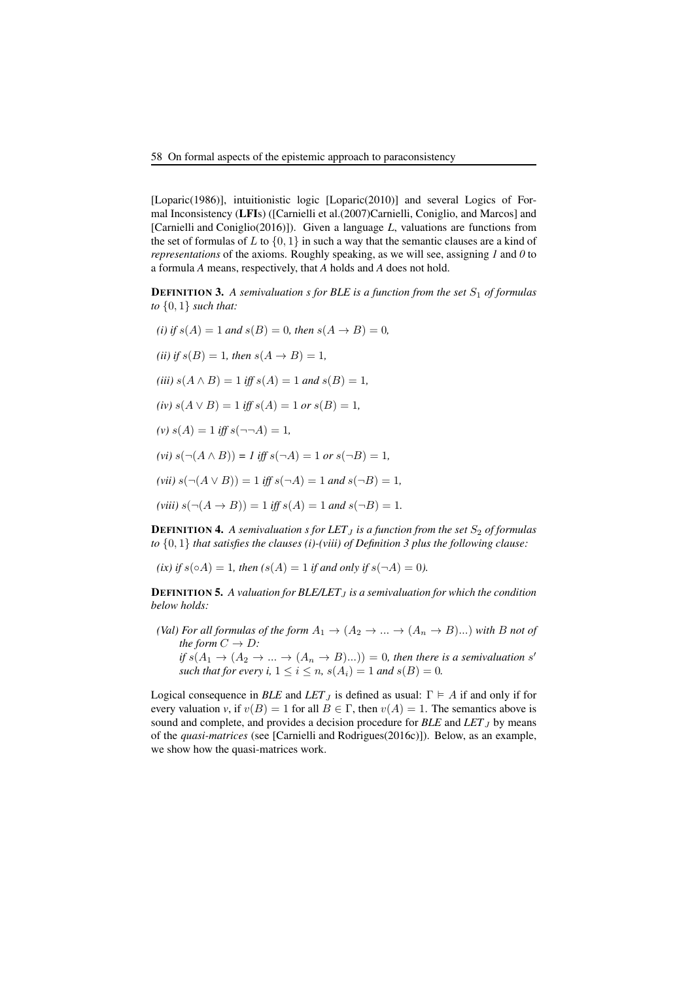[Loparic(1986)], intuitionistic logic [Loparic(2010)] and several Logics of Formal Inconsistency (LFIs) ([Carnielli et al.(2007)Carnielli, Coniglio, and Marcos] and [Carnielli and Coniglio(2016)]). Given a language *L*, valuations are functions from the set of formulas of L to  $\{0, 1\}$  in such a way that the semantic clauses are a kind of *representations* of the axioms. Roughly speaking, as we will see, assigning 1 and 0 to a formula *A* means, respectively, that *A* holds and *A* does not hold.

**DEFINITION 3.** A semivaluation s for BLE is a function from the set  $S_1$  of formulas *to* {0, 1} *such that:*

*(i)* if  $s(A) = 1$  *and*  $s(B) = 0$ *, then*  $s(A \to B) = 0$ *, (ii)* if  $s(B) = 1$ *, then*  $s(A \rightarrow B) = 1$ *, (iii)*  $s(A \wedge B) = 1$  *iff*  $s(A) = 1$  *and*  $s(B) = 1$ *,*  $(iv) s(A \vee B) = 1$  *iff*  $s(A) = 1$  *or*  $s(B) = 1$ *,*  $(v) s(A) = 1$  *iff*  $s(\neg\neg A) = 1$ ,  $(vi) s(\neg(A \land B)) = I$  *iff*  $s(\neg A) = 1$  *or*  $s(\neg B) = 1$ *,*  $(vii) s(\neg(A \lor B)) = 1$  *iff*  $s(\neg A) = 1$  *and*  $s(\neg B) = 1$ *,*  $(viii) s(\neg(A \rightarrow B)) = 1$  *iff*  $s(A) = 1$  *and*  $s(\neg B) = 1$ *.* 

**DEFINITION 4.** A semivaluation s for LET  $<sub>I</sub>$  is a function from the set  $S<sub>2</sub>$  of formulas</sub> *to* {0, 1} *that satisfies the clauses (i)-(viii) of Definition 3 plus the following clause:*

*(ix) if*  $s( \circ A) = 1$ *, then*  $(s(A) = 1$  *if and only if*  $s( \neg A) = 0$ *).* 

**DEFINITION 5.** A valuation for BLE/LET<sub>J</sub> is a semivaluation for which the condition *below holds:*

- *(Val) For all formulas of the form*  $A_1 \rightarrow (A_2 \rightarrow ... \rightarrow (A_n \rightarrow B)...)$  *with* B *not of the form*  $C \rightarrow D$ *:* 
	- *if*  $s(A_1 \rightarrow (A_2 \rightarrow ... \rightarrow (A_n \rightarrow B)...)) = 0$ *, then there is a semivaluation* s' *such that for every i,*  $1 \le i \le n$ ,  $s(A_i) = 1$  *and*  $s(B) = 0$ *.*

Logical consequence in *BLE* and *LET*<sub>J</sub> is defined as usual:  $\Gamma \models A$  if and only if for every valuation *v*, if  $v(B) = 1$  for all  $B \in \Gamma$ , then  $v(A) = 1$ . The semantics above is sound and complete, and provides a decision procedure for  $BLE$  and  $LET_J$  by means of the *quasi-matrices* (see [Carnielli and Rodrigues(2016c)]). Below, as an example, we show how the quasi-matrices work.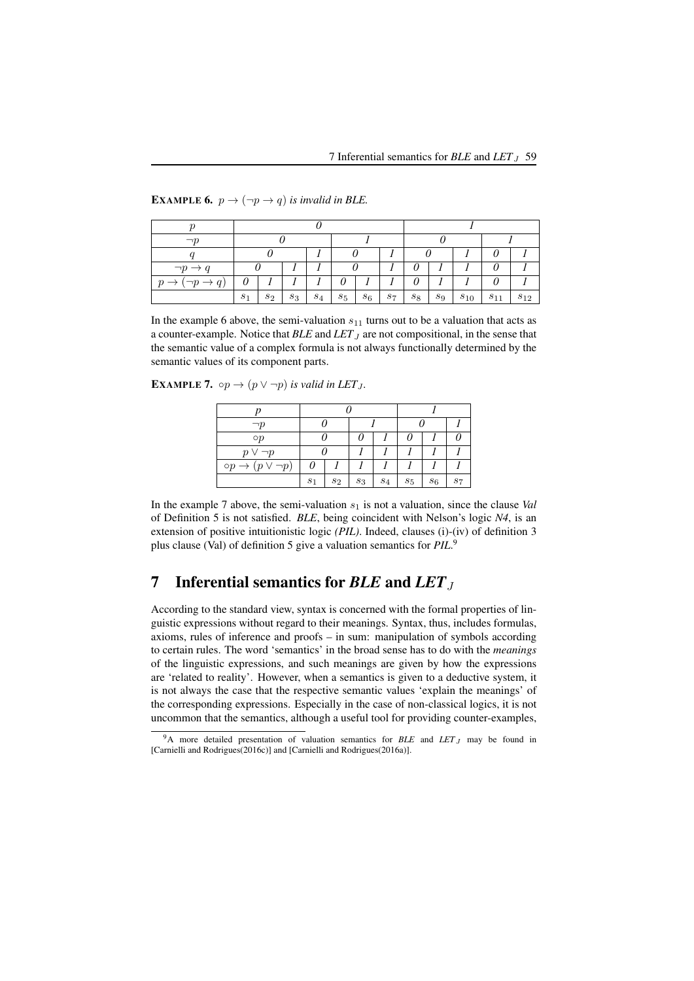| $\neg p \rightarrow q$                       |       |       |       |       |       |       |       |       |       |          | 0        |          |  |
|----------------------------------------------|-------|-------|-------|-------|-------|-------|-------|-------|-------|----------|----------|----------|--|
| $(\neg p \rightarrow q)$<br>$\boldsymbol{p}$ | 0     |       |       |       |       |       |       |       |       |          | 0        |          |  |
|                                              | $s_1$ | $s_2$ | $s_3$ | $s_4$ | $s_5$ | $s_6$ | $s_7$ | $s_8$ | $s_9$ | $s_{10}$ | $s_{11}$ | $s_{12}$ |  |

**EXAMPLE 6.**  $p \rightarrow (\neg p \rightarrow q)$  *is invalid in BLE.* 

In the example 6 above, the semi-valuation  $s_{11}$  turns out to be a valuation that acts as a counter-example. Notice that *BLE* and *LET J* are not compositional, in the sense that the semantic value of a complex formula is not always functionally determined by the semantic values of its component parts.

**EXAMPLE 7.**  $\circ p \rightarrow (p \lor \neg p)$  *is valid in LET j*.

| $\neg p$                       |                |       |       |       |       |       |  |
|--------------------------------|----------------|-------|-------|-------|-------|-------|--|
| $\circ p$                      |                |       | 0     |       |       |       |  |
| $p \vee \neg p$                |                |       |       |       |       |       |  |
| $(p \vee \neg p)$<br>$\circ p$ |                |       |       |       |       |       |  |
|                                | S <sub>1</sub> | $s_2$ | $s_3$ | $s_4$ | $s_5$ | $s_6$ |  |

In the example 7 above, the semi-valuation  $s_1$  is not a valuation, since the clause *Val* of Definition 5 is not satisfied. *BLE*, being coincident with Nelson's logic *N4*, is an extension of positive intuitionistic logic *(PIL)*. Indeed, clauses (i)-(iv) of definition 3 plus clause (Val) of definition 5 give a valuation semantics for *PIL*. 9

## 7 Inferential semantics for *BLE* and *LET*<sub>J</sub>

According to the standard view, syntax is concerned with the formal properties of linguistic expressions without regard to their meanings. Syntax, thus, includes formulas, axioms, rules of inference and proofs – in sum: manipulation of symbols according to certain rules. The word 'semantics' in the broad sense has to do with the *meanings* of the linguistic expressions, and such meanings are given by how the expressions are 'related to reality'. However, when a semantics is given to a deductive system, it is not always the case that the respective semantic values 'explain the meanings' of the corresponding expressions. Especially in the case of non-classical logics, it is not uncommon that the semantics, although a useful tool for providing counter-examples,

<sup>&</sup>lt;sup>9</sup>A more detailed presentation of valuation semantics for *BLE* and *LET*<sub>J</sub> may be found in [Carnielli and Rodrigues(2016c)] and [Carnielli and Rodrigues(2016a)].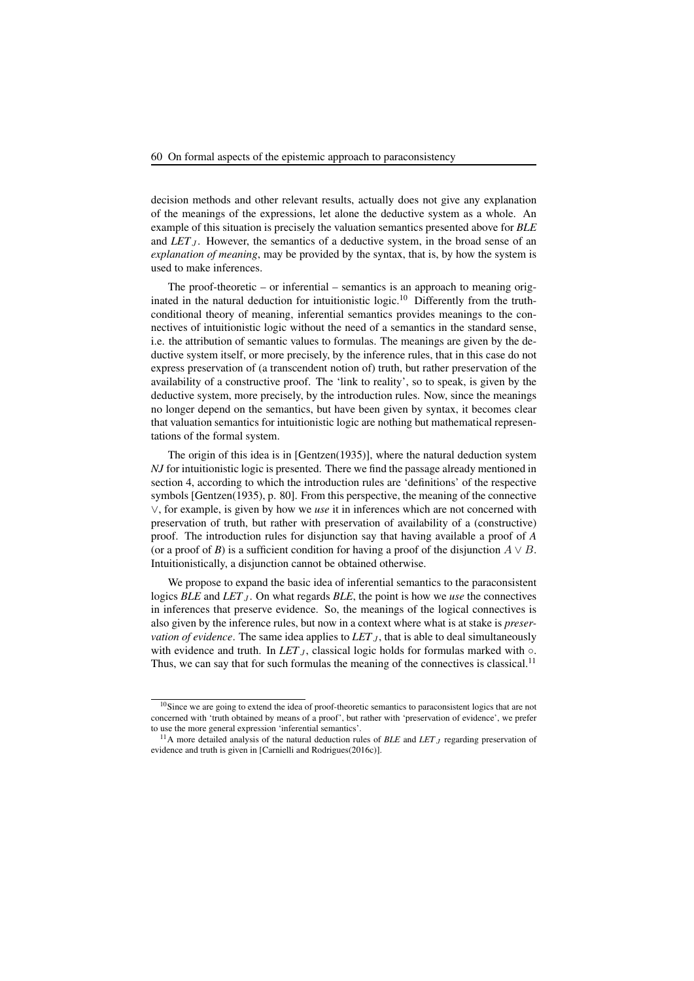decision methods and other relevant results, actually does not give any explanation of the meanings of the expressions, let alone the deductive system as a whole. An example of this situation is precisely the valuation semantics presented above for *BLE* and *LET*<sub>J</sub>. However, the semantics of a deductive system, in the broad sense of an *explanation of meaning*, may be provided by the syntax, that is, by how the system is used to make inferences.

The proof-theoretic – or inferential – semantics is an approach to meaning originated in the natural deduction for intuitionistic logic.<sup>10</sup> Differently from the truthconditional theory of meaning, inferential semantics provides meanings to the connectives of intuitionistic logic without the need of a semantics in the standard sense, i.e. the attribution of semantic values to formulas. The meanings are given by the deductive system itself, or more precisely, by the inference rules, that in this case do not express preservation of (a transcendent notion of) truth, but rather preservation of the availability of a constructive proof. The 'link to reality', so to speak, is given by the deductive system, more precisely, by the introduction rules. Now, since the meanings no longer depend on the semantics, but have been given by syntax, it becomes clear that valuation semantics for intuitionistic logic are nothing but mathematical representations of the formal system.

The origin of this idea is in [Gentzen(1935)], where the natural deduction system *NJ* for intuitionistic logic is presented. There we find the passage already mentioned in section 4, according to which the introduction rules are 'definitions' of the respective symbols [Gentzen(1935), p. 80]. From this perspective, the meaning of the connective  $\vee$ , for example, is given by how we *use* it in inferences which are not concerned with preservation of truth, but rather with preservation of availability of a (constructive) proof. The introduction rules for disjunction say that having available a proof of *A* (or a proof of *B*) is a sufficient condition for having a proof of the disjunction  $A \vee B$ . Intuitionistically, a disjunction cannot be obtained otherwise.

We propose to expand the basic idea of inferential semantics to the paraconsistent logics *BLE* and *LET*<sub>J</sub>. On what regards *BLE*, the point is how we *use* the connectives in inferences that preserve evidence. So, the meanings of the logical connectives is also given by the inference rules, but now in a context where what is at stake is *preservation of evidence*. The same idea applies to  $LET_J$ , that is able to deal simultaneously with evidence and truth. In *LET*<sub>J</sub>, classical logic holds for formulas marked with  $\circ$ . Thus, we can say that for such formulas the meaning of the connectives is classical.<sup>11</sup>

<sup>&</sup>lt;sup>10</sup>Since we are going to extend the idea of proof-theoretic semantics to paraconsistent logics that are not concerned with 'truth obtained by means of a proof', but rather with 'preservation of evidence', we prefer to use the more general expression 'inferential semantics'.

<sup>&</sup>lt;sup>11</sup>A more detailed analysis of the natural deduction rules of *BLE* and *LET*<sub>J</sub> regarding preservation of evidence and truth is given in [Carnielli and Rodrigues(2016c)].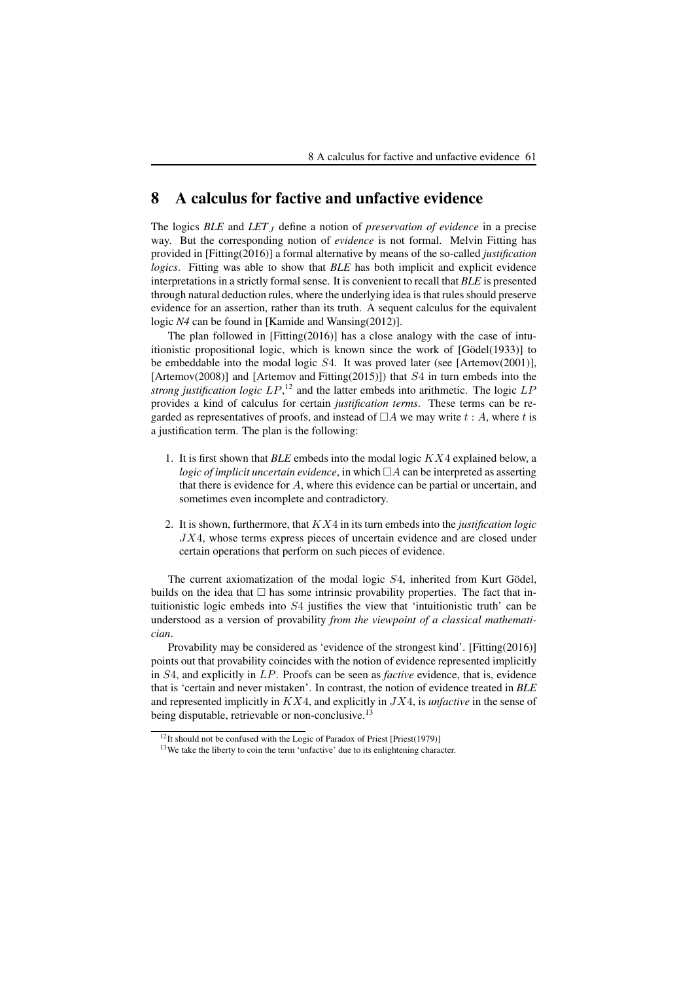### 8 A calculus for factive and unfactive evidence

The logics *BLE* and *LET*<sub>J</sub> define a notion of *preservation of evidence* in a precise way. But the corresponding notion of *evidence* is not formal. Melvin Fitting has provided in [Fitting(2016)] a formal alternative by means of the so-called *justification logics*. Fitting was able to show that *BLE* has both implicit and explicit evidence interpretations in a strictly formal sense. It is convenient to recall that *BLE* is presented through natural deduction rules, where the underlying idea is that rules should preserve evidence for an assertion, rather than its truth. A sequent calculus for the equivalent logic *N4* can be found in [Kamide and Wansing(2012)].

The plan followed in [Fitting(2016)] has a close analogy with the case of intuitionistic propositional logic, which is known since the work of [Gödel(1933)] to be embeddable into the modal logic S4. It was proved later (see [Artemov(2001)], [Artemov(2008)] and [Artemov and Fitting(2015)]) that  $S4$  in turn embeds into the *strong justification logic* LP, <sup>12</sup> and the latter embeds into arithmetic. The logic LP provides a kind of calculus for certain *justification terms*. These terms can be regarded as representatives of proofs, and instead of  $\Box A$  we may write t: A, where t is a justification term. The plan is the following:

- 1. It is first shown that *BLE* embeds into the modal logic KX4 explained below, a *logic of implicit uncertain evidence*, in which  $\Box A$  can be interpreted as asserting that there is evidence for A, where this evidence can be partial or uncertain, and sometimes even incomplete and contradictory.
- 2. It is shown, furthermore, that KX4 in its turn embeds into the *justification logic* JX4, whose terms express pieces of uncertain evidence and are closed under certain operations that perform on such pieces of evidence.

The current axiomatization of the modal logic S4, inherited from Kurt Gödel, builds on the idea that  $\Box$  has some intrinsic provability properties. The fact that intuitionistic logic embeds into S4 justifies the view that 'intuitionistic truth' can be understood as a version of provability *from the viewpoint of a classical mathematician*.

Provability may be considered as 'evidence of the strongest kind'. [Fitting(2016)] points out that provability coincides with the notion of evidence represented implicitly in S4, and explicitly in LP. Proofs can be seen as *factive* evidence, that is, evidence that is 'certain and never mistaken'. In contrast, the notion of evidence treated in *BLE* and represented implicitly in KX4, and explicitly in JX4, is *unfactive* in the sense of being disputable, retrievable or non-conclusive.<sup>13</sup>

<sup>&</sup>lt;sup>12</sup>It should not be confused with the Logic of Paradox of Priest [Priest(1979)]

<sup>13</sup>We take the liberty to coin the term 'unfactive' due to its enlightening character.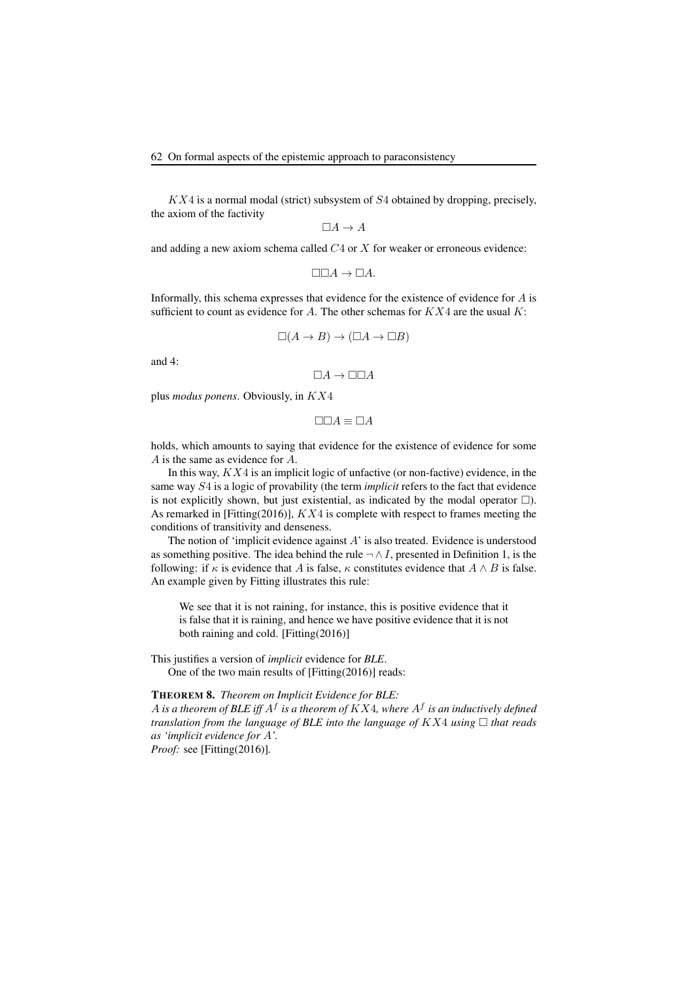$KX4$  is a normal modal (strict) subsystem of  $S4$  obtained by dropping, precisely, the axiom of the factivity

 $\Box A \rightarrow A$ 

and adding a new axiom schema called  $C4$  or  $X$  for weaker or erroneous evidence:

 $\Box\Box A \rightarrow \Box A.$ 

Informally, this schema expresses that evidence for the existence of evidence for A is sufficient to count as evidence for A. The other schemas for  $KX4$  are the usual  $K$ :

$$
\Box(A \to B) \to (\Box A \to \Box B)
$$

and 4:

 $\Box A \rightarrow \Box \Box A$ 

plus *modus ponens*. Obviously, in KX4

 $\Box \Box A \equiv \Box A$ 

holds, which amounts to saying that evidence for the existence of evidence for some A is the same as evidence for A.

In this way,  $KX4$  is an implicit logic of unfactive (or non-factive) evidence, in the same way S4 is a logic of provability (the term *implicit* refers to the fact that evidence is not explicitly shown, but just existential, as indicated by the modal operator  $\Box$ ). As remarked in [Fitting(2016)], KX4 is complete with respect to frames meeting the conditions of transitivity and denseness.

The notion of 'implicit evidence against A' is also treated. Evidence is understood as something positive. The idea behind the rule  $\neg \wedge I$ , presented in Definition 1, is the following: if  $\kappa$  is evidence that A is false,  $\kappa$  constitutes evidence that  $A \wedge B$  is false. An example given by Fitting illustrates this rule:

We see that it is not raining, for instance, this is positive evidence that it is false that it is raining, and hence we have positive evidence that it is not both raining and cold. [Fitting(2016)]

This justifies a version of *implicit* evidence for *BLE*. One of the two main results of [Fitting(2016)] reads:

#### THEOREM 8. *Theorem on Implicit Evidence for BLE:*

A *is a theorem of BLE iff*  $A^f$  *is a theorem of*  $KX4$ *, where*  $A^f$  *is an inductively defined translation from the language of BLE into the language of*  $K X4$  *using*  $\Box$  *that reads as 'implicit evidence for* A*'.*

*Proof:* see [Fitting(2016)]*.*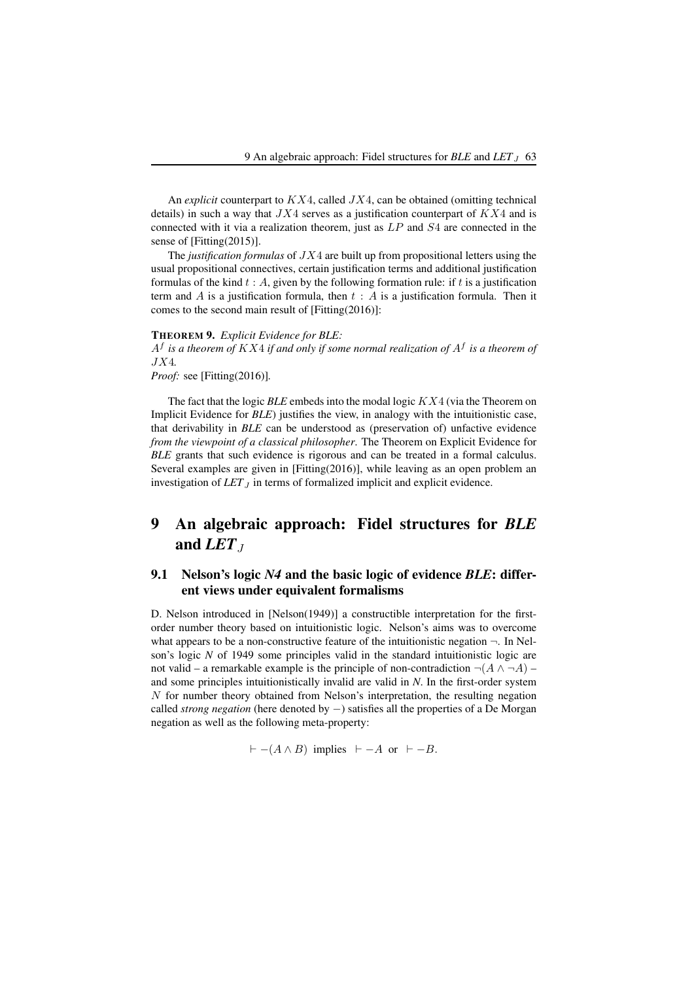An *explicit* counterpart to  $KX4$ , called  $JX4$ , can be obtained (omitting technical details) in such a way that  $JX4$  serves as a justification counterpart of  $KX4$  and is connected with it via a realization theorem, just as  $LP$  and  $S4$  are connected in the sense of [Fitting(2015)].

The *justification formulas* of JX4 are built up from propositional letters using the usual propositional connectives, certain justification terms and additional justification formulas of the kind  $t : A$ , given by the following formation rule: if  $t$  is a justification term and A is a justification formula, then  $t : A$  is a justification formula. Then it comes to the second main result of [Fitting(2016)]:

#### THEOREM 9. *Explicit Evidence for BLE:*

A<sup>f</sup> *is a theorem of* KX4 *if and only if some normal realization of* A<sup>f</sup> *is a theorem of* JX4*.*

*Proof:* see [Fitting(2016)]*.*

The fact that the logic *BLE* embeds into the modal logic KX4 (via the Theorem on Implicit Evidence for *BLE*) justifies the view, in analogy with the intuitionistic case, that derivability in *BLE* can be understood as (preservation of) unfactive evidence *from the viewpoint of a classical philosopher*. The Theorem on Explicit Evidence for *BLE* grants that such evidence is rigorous and can be treated in a formal calculus. Several examples are given in [Fitting(2016)], while leaving as an open problem an investigation of  $LET_J$  in terms of formalized implicit and explicit evidence.

# 9 An algebraic approach: Fidel structures for *BLE* and  $LET_J$

### 9.1 Nelson's logic *N4* and the basic logic of evidence *BLE*: different views under equivalent formalisms

D. Nelson introduced in [Nelson(1949)] a constructible interpretation for the firstorder number theory based on intuitionistic logic. Nelson's aims was to overcome what appears to be a non-constructive feature of the intuitionistic negation  $\neg$ . In Nelson's logic *N* of 1949 some principles valid in the standard intuitionistic logic are not valid – a remarkable example is the principle of non-contradiction  $\neg(A \land \neg A)$  – and some principles intuitionistically invalid are valid in *N*. In the first-order system N for number theory obtained from Nelson's interpretation, the resulting negation called *strong negation* (here denoted by −) satisfies all the properties of a De Morgan negation as well as the following meta-property:

 $\vdash -(A \land B)$  implies  $\vdash -A$  or  $\vdash -B$ .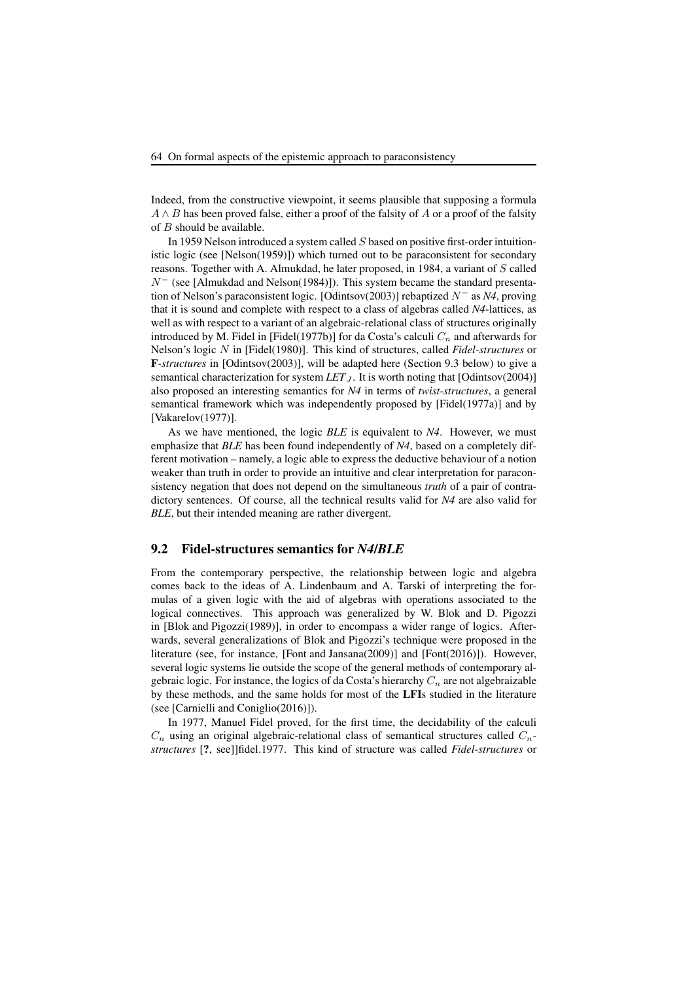Indeed, from the constructive viewpoint, it seems plausible that supposing a formula  $A \wedge B$  has been proved false, either a proof of the falsity of A or a proof of the falsity of  $B$  should be available.

In 1959 Nelson introduced a system called S based on positive first-order intuitionistic logic (see [Nelson(1959)]) which turned out to be paraconsistent for secondary reasons. Together with A. Almukdad, he later proposed, in 1984, a variant of S called  $N^-$  (see [Almukdad and Nelson(1984)]). This system became the standard presentation of Nelson's paraconsistent logic. [Odintsov(2003)] rebaptized  $N^-$  as  $N4$ , proving that it is sound and complete with respect to a class of algebras called *N4*-lattices, as well as with respect to a variant of an algebraic-relational class of structures originally introduced by M. Fidel in [Fidel(1977b)] for da Costa's calculi  $C_n$  and afterwards for Nelson's logic N in [Fidel(1980)]. This kind of structures, called *Fidel-structures* or F*-structures* in [Odintsov(2003)], will be adapted here (Section 9.3 below) to give a semantical characterization for system  $LET_J$ . It is worth noting that [Odintsov(2004)] also proposed an interesting semantics for *N4* in terms of *twist-structures*, a general semantical framework which was independently proposed by [Fidel(1977a)] and by [Vakarelov(1977)].

As we have mentioned, the logic *BLE* is equivalent to *N4*. However, we must emphasize that *BLE* has been found independently of *N4*, based on a completely different motivation – namely, a logic able to express the deductive behaviour of a notion weaker than truth in order to provide an intuitive and clear interpretation for paraconsistency negation that does not depend on the simultaneous *truth* of a pair of contradictory sentences. Of course, all the technical results valid for *N4* are also valid for *BLE*, but their intended meaning are rather divergent.

#### 9.2 Fidel-structures semantics for *N4*/*BLE*

From the contemporary perspective, the relationship between logic and algebra comes back to the ideas of A. Lindenbaum and A. Tarski of interpreting the formulas of a given logic with the aid of algebras with operations associated to the logical connectives. This approach was generalized by W. Blok and D. Pigozzi in [Blok and Pigozzi(1989)], in order to encompass a wider range of logics. Afterwards, several generalizations of Blok and Pigozzi's technique were proposed in the literature (see, for instance, [Font and Jansana(2009)] and [Font(2016)]). However, several logic systems lie outside the scope of the general methods of contemporary algebraic logic. For instance, the logics of da Costa's hierarchy  $C_n$  are not algebraizable by these methods, and the same holds for most of the LFIs studied in the literature (see [Carnielli and Coniglio(2016)]).

In 1977, Manuel Fidel proved, for the first time, the decidability of the calculi  $C_n$  using an original algebraic-relational class of semantical structures called  $C_n$ *structures* [?, see]]fidel.1977. This kind of structure was called *Fidel-structures* or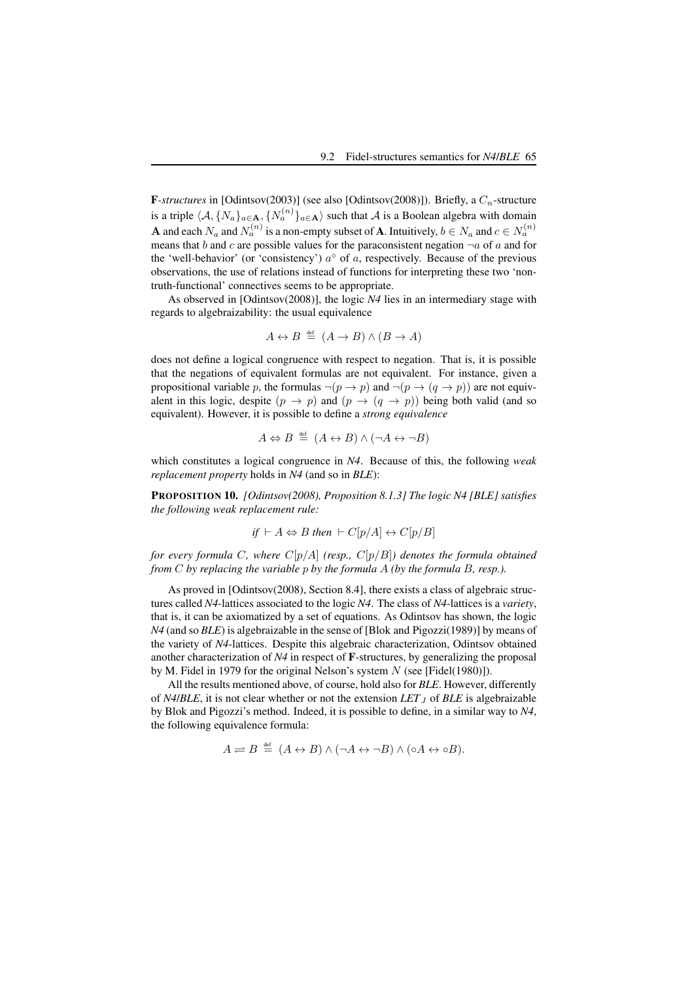**F**-structures in [Odintsov(2003)] (see also [Odintsov(2008)]). Briefly, a  $C_n$ -structure is a triple  $\langle A, \{N_a\}_{a \in \mathbf{A}}, \{N_a^{(n)}\}_{a \in \mathbf{A}}\rangle$  such that A is a Boolean algebra with domain **A** and each  $N_a$  and  $N_a^{(n)}$  is a non-empty subset of **A**. Intuitively,  $b \in N_a$  and  $c \in N_a^{(n)}$ means that b and c are possible values for the paraconsistent negation  $\neg a$  of a and for the 'well-behavior' (or 'consistency')  $a^{\circ}$  of a, respectively. Because of the previous observations, the use of relations instead of functions for interpreting these two 'nontruth-functional' connectives seems to be appropriate.

As observed in [Odintsov(2008)], the logic *N4* lies in an intermediary stage with regards to algebraizability: the usual equivalence

$$
A \leftrightarrow B \stackrel{\text{def}}{=} (A \to B) \land (B \to A)
$$

does not define a logical congruence with respect to negation. That is, it is possible that the negations of equivalent formulas are not equivalent. For instance, given a propositional variable p, the formulas  $\neg(p \rightarrow p)$  and  $\neg(p \rightarrow (q \rightarrow p))$  are not equivalent in this logic, despite  $(p \to p)$  and  $(p \to (q \to p))$  being both valid (and so equivalent). However, it is possible to define a *strong equivalence*

$$
A \Leftrightarrow B \stackrel{\text{def}}{=} (A \leftrightarrow B) \land (\neg A \leftrightarrow \neg B)
$$

which constitutes a logical congruence in *N4*. Because of this, the following *weak replacement property* holds in *N4* (and so in *BLE*):

PROPOSITION 10. *[Odintsov(2008), Proposition 8.1.3] The logic N4 [BLE] satisfies the following weak replacement rule:*

if 
$$
\vdash A \Leftrightarrow B
$$
 then  $\vdash C[p/A] \leftrightarrow C[p/B]$ 

*for every formula* C*, where* C[p/A] *(resp.,* C[p/B]*) denotes the formula obtained from* C *by replacing the variable* p *by the formula* A *(by the formula* B*, resp.).*

As proved in [Odintsov(2008), Section 8.4], there exists a class of algebraic structures called *N4*-lattices associated to the logic *N4*. The class of *N4*-lattices is a *variety*, that is, it can be axiomatized by a set of equations. As Odintsov has shown, the logic *N4* (and so *BLE*) is algebraizable in the sense of [Blok and Pigozzi(1989)] by means of the variety of *N4*-lattices. Despite this algebraic characterization, Odintsov obtained another characterization of *N4* in respect of F-structures, by generalizing the proposal by M. Fidel in 1979 for the original Nelson's system  $N$  (see [Fidel(1980)]).

All the results mentioned above, of course, hold also for *BLE*. However, differently of  $N4/BLE$ , it is not clear whether or not the extension  $LET_J$  of  $BLE$  is algebraizable by Blok and Pigozzi's method. Indeed, it is possible to define, in a similar way to *N4*, the following equivalence formula:

$$
A \rightleftharpoons B \stackrel{\text{def}}{=} (A \leftrightarrow B) \land (\neg A \leftrightarrow \neg B) \land (\circ A \leftrightarrow \circ B).
$$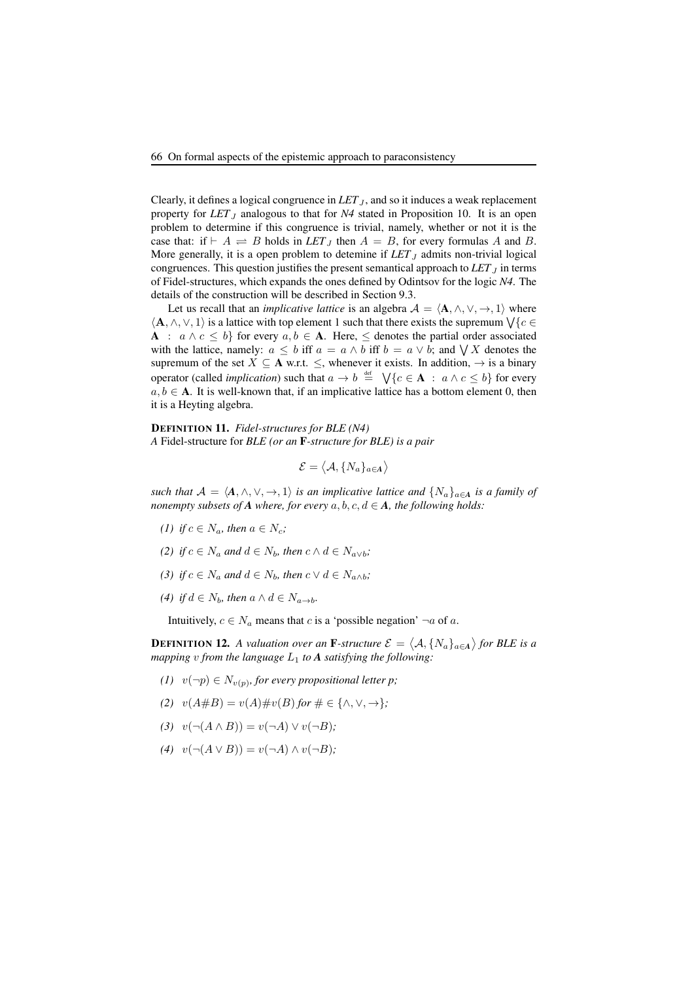Clearly, it defines a logical congruence in  $LET_J$ , and so it induces a weak replacement property for  $LET_J$  analogous to that for  $N4$  stated in Proposition 10. It is an open problem to determine if this congruence is trivial, namely, whether or not it is the case that: if  $\vdash A \rightleftharpoons B$  holds in *LET*<sub>J</sub> then  $A = B$ , for every formulas A and B. More generally, it is a open problem to detemine if  $LET_J$  admits non-trivial logical congruences. This question justifies the present semantical approach to  $LET_J$  in terms of Fidel-structures, which expands the ones defined by Odintsov for the logic *N4*. The details of the construction will be described in Section 9.3.

Let us recall that an *implicative lattice* is an algebra  $A = \langle A, \wedge, \vee, \to, 1 \rangle$  where  $\langle A, \wedge, \vee, 1 \rangle$  is a lattice with top element 1 such that there exists the supremum  $\forall \{c \in \mathcal{C}\}\$ A :  $a \wedge c \leq b$  for every  $a, b \in A$ . Here,  $\leq$  denotes the partial order associated with the lattice, namely:  $a \leq b$  iff  $a = a \wedge b$  iff  $b = a \vee b$ ; and  $\bigvee X$  denotes the supremum of the set  $X \subseteq A$  w.r.t.  $\leq$ , whenever it exists. In addition,  $\rightarrow$  is a binary operator (called *implication*) such that  $a \to b \stackrel{\text{def}}{=} \bigvee \{c \in \mathbf{A} : a \wedge c \leq b\}$  for every  $a, b \in A$ . It is well-known that, if an implicative lattice has a bottom element 0, then it is a Heyting algebra.

DEFINITION 11. *Fidel-structures for BLE (N4) A* Fidel-structure for *BLE (or an* F*-structure for BLE) is a pair*

$$
\mathcal{E} = \langle \mathcal{A}, \{N_a\}_{a \in A} \rangle
$$

*such that*  $A = \langle A, \wedge, \vee, \to, 1 \rangle$  *is an implicative lattice and*  $\{N_a\}_{a \in A}$  *is a family of nonempty subsets of A where, for every*  $a, b, c, d \in A$ *, the following holds:* 

- *(1) if*  $c \in N_a$ *, then*  $a \in N_c$ *;*
- *(2) if*  $c \in N_a$  *and*  $d \in N_b$ *, then*  $c \wedge d \in N_{a \vee b}$ *;*
- (3) if  $c \in N_a$  and  $d \in N_b$ , then  $c \vee d \in N_{a \wedge b}$ ;
- (4) if  $d \in N_b$ , then  $a \wedge d \in N_{a \rightarrow b}$ .

Intuitively,  $c \in N_a$  means that c is a 'possible negation'  $\neg a$  of a.

**DEFINITION 12.** A valuation over an **F**-structure  $\mathcal{E} = \langle A, \{N_a\}_{a \in A} \rangle$  for BLE is a *mapping* v from the language  $L_1$  to **A** satisfying the following:

- *(1)*  $v(\neg p) \in N_{v(p)}$ *, for every propositional letter p*;
- *(2)*  $v(A \# B) = v(A) \# v(B)$  *for*  $\# \in {\{\land, \lor, \to\}}$ *;*
- *(3)*  $v(\neg(A \land B)) = v(\neg A) \lor v(\neg B)$ ;
- *(4)*  $v(\neg(A \lor B)) = v(\neg A) \land v(\neg B)$ ;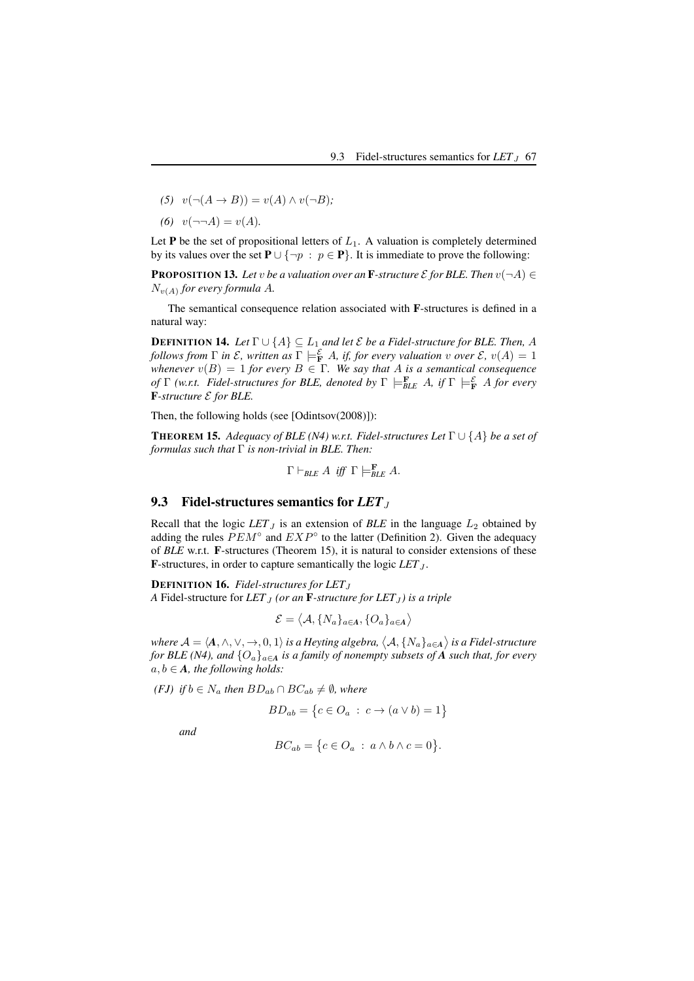- $(5)$   $v(\neg(A \rightarrow B)) = v(A) \wedge v(\neg B);$
- (6)  $v(\neg\neg A) = v(A)$ *.*

Let  $P$  be the set of propositional letters of  $L_1$ . A valuation is completely determined by its values over the set  $P \cup \{\neg p : p \in P\}$ . It is immediate to prove the following:

**PROPOSITION 13.** Let *v* be a valuation over an **F**-structure  $\mathcal E$  for BLE. Then  $v(\neg A) \in$  $N_{v(A)}$  *for every formula A.* 

The semantical consequence relation associated with F-structures is defined in a natural way:

**DEFINITION 14.** *Let*  $\Gamma \cup \{A\} \subseteq L_1$  *and let*  $\mathcal{E}$  *be a Fidel-structure for BLE. Then, A follows from*  $\Gamma$  *in*  $\mathcal{E}$ *, written as*  $\Gamma \models^{\mathcal{E}}_{\mathbf{F}} A$ *, if, for every valuation* v *over*  $\mathcal{E}$ *,*  $v(A) = 1$ *whenever*  $v(B) = 1$  *for every*  $B \in \Gamma$ *. We say that* A *is a semantical consequence of* Γ (w.r.t. Fidel-structures for BLE, denoted by Γ  $\models$ <sup>E</sup><sub>BLE</sub> A, if Γ  $\models$ <sup>E</sup><sub>F</sub> A for every F*-structure* E *for BLE.*

Then, the following holds (see [Odintsov(2008)]):

**THEOREM 15.** *Adequacy of BLE (N4) w.r.t. Fidel-structures Let*  $\Gamma \cup \{A\}$  *be a set of formulas such that* Γ *is non-trivial in BLE. Then:*

$$
\Gamma \vdash_{BLE} A \text{ iff } \Gamma \models_{BLE}^\mathbf{F} A.
$$

#### 9.3 Fidel-structures semantics for *LET*<sub>J</sub>

Recall that the logic  $LET_J$  is an extension of  $BLE$  in the language  $L_2$  obtained by adding the rules  $PEM°$  and  $EXP°$  to the latter (Definition 2). Given the adequacy of *BLE* w.r.t. F-structures (Theorem 15), it is natural to consider extensions of these **F**-structures, in order to capture semantically the logic  $LET_J$ .

**DEFINITION 16.** *Fidel-structures for LET*<sub>J</sub> *A* Fidel-structure for  $LET_J$  (or an **F**-structure for  $LET_J$ ) is a triple

$$
\mathcal{E} = \langle \mathcal{A}, \{N_a\}_{a \in \mathcal{A}}, \{O_a\}_{a \in \mathcal{A}} \rangle
$$

where  $\mathcal{A} = \langle A, \wedge, \vee, \to, 0, 1 \rangle$  is a Heyting algebra,  $\big\langle \mathcal{A}, \{N_a\}_{a \in A} \big\rangle$  is a Fidel-structure *for BLE (N4), and*  $\{O_a\}_{a \in A}$  *is a family of nonempty subsets of A such that, for every*  $a, b \in A$ *, the following holds:* 

*(FJ)* if  $b \in N_a$  *then*  $BD_{ab} \cap BC_{ab} \neq \emptyset$ *, where* 

 $BD_{ab} = \{c \in O_a : c \to (a \vee b) = 1\}$ 

*and*

$$
BC_{ab} = \{c \in O_a : a \wedge b \wedge c = 0\}.
$$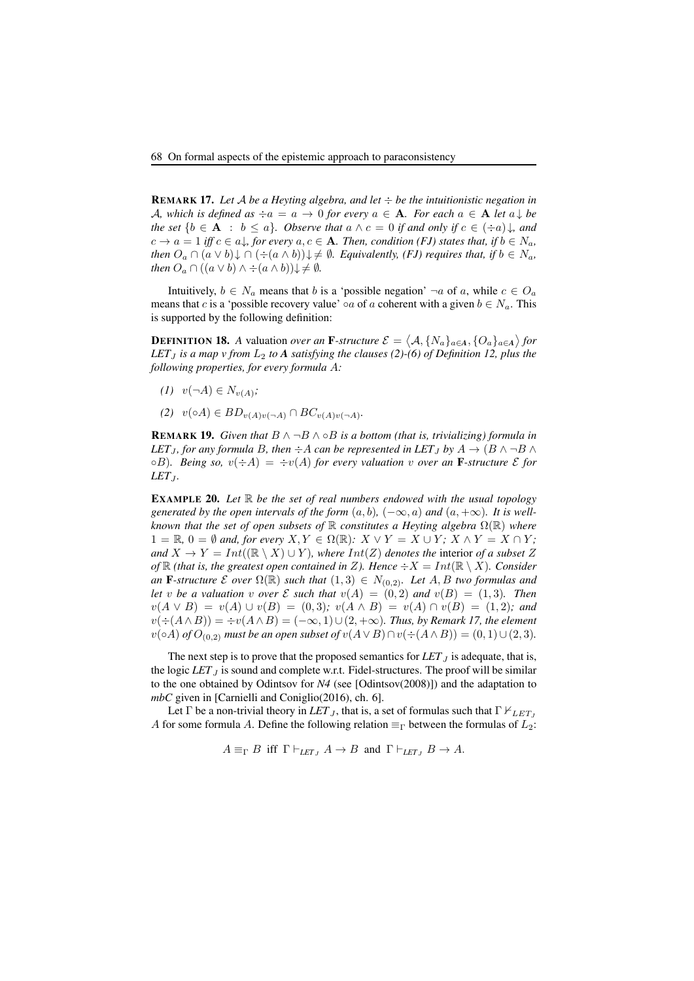REMARK 17. *Let* A *be a Heyting algebra, and let* ÷ *be the intuitionistic negation in* A, which is defined as  $\div a = a \rightarrow 0$  for every  $a \in A$ *. For each*  $a \in A$  *let*  $a \downarrow be$ *the set*  ${b \in A : b \le a}$ *. Observe that*  $a \wedge c = 0$  *if and only if*  $c \in (+a)$ *, and*  $c \to a = 1$  *iff*  $c \in a$ , for every  $a, c \in A$ *. Then, condition (FJ) states that, if*  $b \in N_a$ , *then*  $O_a \cap (a \vee b) \downarrow \cap (\div(a \wedge b)) \downarrow \neq \emptyset$ . Equivalently, (FJ) requires that, if  $b \in N_a$ , *then*  $O_a \cap ((a \vee b) \wedge \div (a \wedge b)) \downarrow \neq \emptyset$ .

Intuitively,  $b \in N_a$  means that b is a 'possible negation'  $\neg a$  of a, while  $c \in O_a$ means that c is a 'possible recovery value'  $\circ a$  of a coherent with a given  $b \in N_a$ . This is supported by the following definition:

**DEFINITION 18.** A valuation *over an* **F**-structure  $\mathcal{E} = \langle A, \{N_a\}_{a \in A}, \{O_a\}_{a \in A}\rangle$  for *LET*<sub>*J*</sub> *is a map v from*  $L_2$  *to*  $A$  *satisfying the clauses (2)-(6) of Definition 12, plus the following properties, for every formula* A*:*

- *(1)*  $v(¬A) ∈ N<sub>v(A)</sub>;$
- *(2)*  $v(∘A) ∈ BD_{v(A)v(¬A)} ∩ BC_{v(A)v(¬A)}$ .

**REMARK 19.** *Given that*  $B \wedge \neg B \wedge \neg B$  *is a bottom (that is, trivializing) formula in LET*<sub>J</sub>, for any formula B, then  $\div A$  *can be represented in LET*<sub>J</sub> by  $A \rightarrow (B \land \neg B \land B)$  $\circ$ B)*.* Being so,  $v(\div A) = \div v(A)$  for every valuation v over an **F**-structure *E* for *LET*<sub>*J*</sub>.

EXAMPLE 20. *Let* R *be the set of real numbers endowed with the usual topology generated by the open intervals of the form*  $(a, b)$ ,  $(-\infty, a)$  *and*  $(a, +\infty)$ *. It is wellknown that the set of open subsets of*  $\mathbb R$  *constitutes a Heyting algebra*  $\Omega(\mathbb R)$  *where*  $1 = \mathbb{R}, 0 = \emptyset$  and, for every  $X, Y \in \Omega(\mathbb{R})$ :  $X \vee Y = X \cup Y$ ;  $X \wedge Y = X \cap Y$ ; *and*  $X \to Y = Int((\mathbb{R} \setminus X) \cup Y)$ *, where*  $Int(Z)$  *denotes the interior of a subset* Z *of*  $\mathbb R$  *(that is, the greatest open contained in* Z*). Hence*  $\div X = Int(\mathbb R \setminus X)$ *. Consider an* **F**-structure  $\mathcal E$  *over*  $\Omega(\mathbb R)$  *such that*  $(1,3) \in N_{(0,2)}$ *. Let*  $A, B$  *two formulas and let* v *be a valuation* v *over*  $\mathcal E$  *such that*  $v(A) = (0, 2)$  *and*  $v(B) = (1, 3)$ *. Then*  $v(A \vee B) = v(A) \cup v(B) = (0, 3); v(A \wedge B) = v(A) \cap v(B) = (1, 2);$  and  $v(\div(A \wedge B)) = \div v(A \wedge B) = (-\infty, 1) \cup (2, +\infty)$ . Thus, by Remark 17, the element  $v(\circ A)$  *of*  $O_{(0,2)}$  *must be an open subset of*  $v(A \vee B) \cap v(\div(A \wedge B)) = (0,1) \cup (2,3)$ *.* 

The next step is to prove that the proposed semantics for  $LET_J$  is adequate, that is, the logic *LET*  $<sub>I</sub>$  is sound and complete w.r.t. Fidel-structures. The proof will be similar</sub> to the one obtained by Odintsov for *N4* (see [Odintsov(2008)]) and the adaptation to *mbC* given in [Carnielli and Coniglio(2016), ch. 6].

Let  $\Gamma$  be a non-trivial theory in *LET*<sub>J</sub>, that is, a set of formulas such that  $\Gamma \nvdash_{LET_J}$ A for some formula A. Define the following relation  $\equiv_{\Gamma}$  between the formulas of  $L_2$ :

 $A \equiv_{\Gamma} B$  iff  $\Gamma \vdash_{LET_{I}} A \to B$  and  $\Gamma \vdash_{LET_{I}} B \to A$ .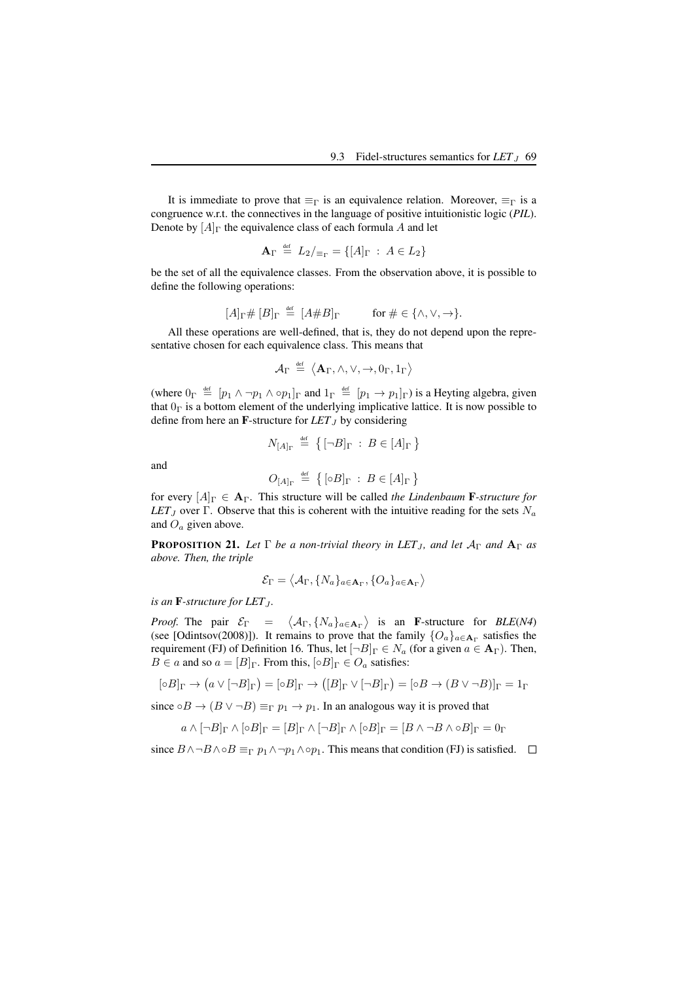It is immediate to prove that  $\equiv_{\Gamma}$  is an equivalence relation. Moreover,  $\equiv_{\Gamma}$  is a congruence w.r.t. the connectives in the language of positive intuitionistic logic (*PIL*). Denote by  $[A]_\Gamma$  the equivalence class of each formula A and let

$$
\mathbf{A}_{\Gamma} \stackrel{\text{def}}{=} L_2/_{\equiv_{\Gamma}} = \{ [A]_{\Gamma} : A \in L_2 \}
$$

be the set of all the equivalence classes. From the observation above, it is possible to define the following operations:

$$
[A]_{\Gamma} \# [B]_{\Gamma} \stackrel{\text{def}}{=} [A \# B]_{\Gamma} \qquad \text{for } \# \in \{\wedge, \vee, \to\}.
$$

All these operations are well-defined, that is, they do not depend upon the representative chosen for each equivalence class. This means that

$$
\mathcal{A}_{\Gamma} \hspace{2pt} \stackrel{\text{\tiny def}}{=} \hspace{2pt} \big \langle \mathbf{A}_{\Gamma}, \wedge, \vee, \rightarrow, 0_{\Gamma}, 1_{\Gamma} \big \rangle
$$

(where  $0_{\Gamma} \stackrel{\text{def}}{=} [p_1 \wedge \neg p_1 \wedge \neg p_1]_{\Gamma}$  and  $1_{\Gamma} \stackrel{\text{def}}{=} [p_1 \rightarrow p_1]_{\Gamma}$ ) is a Heyting algebra, given that  $0<sub>Γ</sub>$  is a bottom element of the underlying implicative lattice. It is now possible to define from here an **F**-structure for  $LET_J$  by considering

$$
N_{[A]_\Gamma} \stackrel{\text{def}}{=} \left\{ [\neg B]_\Gamma : B \in [A]_\Gamma \right\}
$$

and

$$
O_{[A]_{\Gamma}} \stackrel{\text{def}}{=} \left\{ [\circ B]_{\Gamma} : B \in [A]_{\Gamma} \right\}
$$

for every  $[A]_{\Gamma} \in A_{\Gamma}$ . This structure will be called *the Lindenbaum* F-structure for *LET*<sub>J</sub> over Γ. Observe that this is coherent with the intuitive reading for the sets  $N_a$ and  $O_a$  given above.

**PROPOSITION 21.** Let  $\Gamma$  be a non-trivial theory in LET<sub>J</sub>, and let  $A_{\Gamma}$  and  $A_{\Gamma}$  as *above. Then, the triple*

$$
\mathcal{E}_{\Gamma} = \big\langle \mathcal{A}_{\Gamma}, \{N_a\}_{a \in \mathbf{A}_{\Gamma}}, \{O_a\}_{a \in \mathbf{A}_{\Gamma}} \big\rangle
$$

*is an*  $\mathbf{F}$ -structure for LET<sub> $I$ </sub>.

*Proof.* The pair  $\mathcal{E}_{\Gamma}$  =  $\langle A_{\Gamma}, \{N_a\}_{a \in \mathbf{A}_{\Gamma}}\rangle$  is an **F**-structure for *BLE(N4)* (see [Odintsov(2008)]). It remains to prove that the family  $\{O_a\}_{a \in \mathbf{A}_{\Gamma}}$  satisfies the requirement (FJ) of Definition 16. Thus, let  $[\neg B]_{\Gamma} \in N_a$  (for a given  $a \in \mathbf{A}_{\Gamma}$ ). Then,  $B \in a$  and so  $a = [B]_{\Gamma}$ . From this,  $\lbrack \circ B \rbrack_{\Gamma} \in O_a$  satisfies:

$$
[\circ B]_{\Gamma} \to (a \vee [\neg B]_{\Gamma}) = [\circ B]_{\Gamma} \to ([B]_{\Gamma} \vee [\neg B]_{\Gamma}) = [\circ B \to (B \vee \neg B)]_{\Gamma} = 1_{\Gamma}
$$

since  $\circ B \to (B \lor \neg B) \equiv_{\Gamma} p_1 \to p_1$ . In an analogous way it is proved that

$$
a \wedge [\neg B]_{\Gamma} \wedge [\circ B]_{\Gamma} = [B]_{\Gamma} \wedge [\neg B]_{\Gamma} \wedge [\circ B]_{\Gamma} = [B \wedge \neg B \wedge \circ B]_{\Gamma} = 0_{\Gamma}
$$

since  $B \wedge \neg B \wedge \neg B \wedge \neg B =_{\Gamma} p_1 \wedge \neg p_1 \wedge \neg p_1$ . This means that condition (FJ) is satisfied.  $\Box$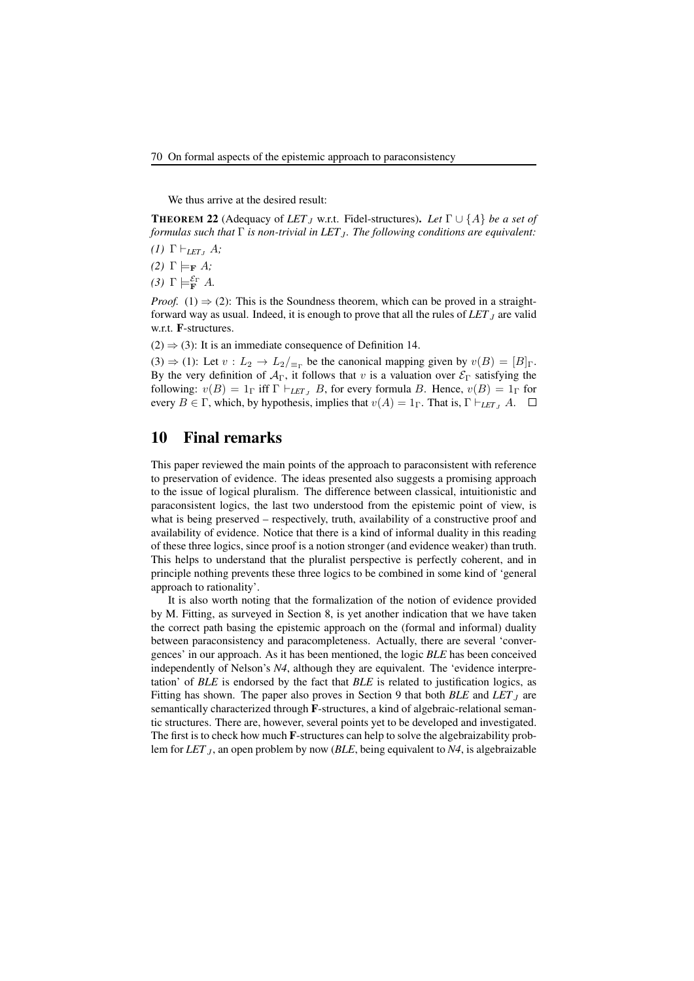We thus arrive at the desired result:

**THEOREM 22** (Adequacy of LET<sub>J</sub> w.r.t. Fidel-structures). Let  $\Gamma \cup \{A\}$  be a set of *formulas such that* Γ *is non-trivial in LET*<sub>J</sub>. The following conditions are equivalent:

- *(1)*  $\Gamma \vdash_{LET} A$ ;
- *(2)*  $\Gamma \models_{\mathbf{F}} A$ *;*
- *(3)* Γ $\models$ **F** *A*.

*Proof.* (1)  $\Rightarrow$  (2): This is the Soundness theorem, which can be proved in a straightforward way as usual. Indeed, it is enough to prove that all the rules of  $LET_J$  are valid w.r.t. F-structures.

 $(2) \Rightarrow (3)$ : It is an immediate consequence of Definition 14.

(3)  $\Rightarrow$  (1): Let  $v : L_2 \rightarrow L_2/_{\equiv r}$  be the canonical mapping given by  $v(B) = [B]_{\Gamma}$ . By the very definition of  $A_{\Gamma}$ , it follows that v is a valuation over  $\mathcal{E}_{\Gamma}$  satisfying the following:  $v(B) = 1_\Gamma$  iff  $\Gamma \vdash_{LET_J} B$ , for every formula B. Hence,  $v(B) = 1_\Gamma$  for every  $B \in \Gamma$ , which, by hypothesis, implies that  $v(A) = 1_\Gamma$ . That is,  $\Gamma \vdash_{LET} A$ .  $\Box$ 

### 10 Final remarks

This paper reviewed the main points of the approach to paraconsistent with reference to preservation of evidence. The ideas presented also suggests a promising approach to the issue of logical pluralism. The difference between classical, intuitionistic and paraconsistent logics, the last two understood from the epistemic point of view, is what is being preserved – respectively, truth, availability of a constructive proof and availability of evidence. Notice that there is a kind of informal duality in this reading of these three logics, since proof is a notion stronger (and evidence weaker) than truth. This helps to understand that the pluralist perspective is perfectly coherent, and in principle nothing prevents these three logics to be combined in some kind of 'general approach to rationality'.

It is also worth noting that the formalization of the notion of evidence provided by M. Fitting, as surveyed in Section 8, is yet another indication that we have taken the correct path basing the epistemic approach on the (formal and informal) duality between paraconsistency and paracompleteness. Actually, there are several 'convergences' in our approach. As it has been mentioned, the logic *BLE* has been conceived independently of Nelson's *N4*, although they are equivalent. The 'evidence interpretation' of *BLE* is endorsed by the fact that *BLE* is related to justification logics, as Fitting has shown. The paper also proves in Section 9 that both *BLE* and *LET*<sub>J</sub> are semantically characterized through F-structures, a kind of algebraic-relational semantic structures. There are, however, several points yet to be developed and investigated. The first is to check how much F-structures can help to solve the algebraizability problem for *LET*<sub>J</sub>, an open problem by now (*BLE*, being equivalent to *N4*, is algebraizable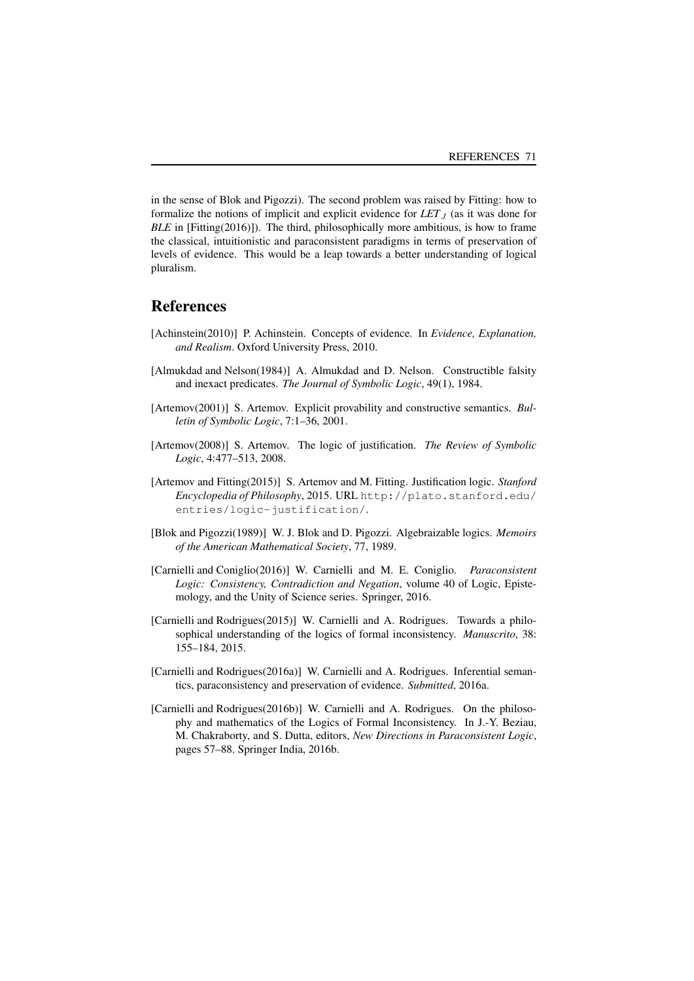in the sense of Blok and Pigozzi). The second problem was raised by Fitting: how to formalize the notions of implicit and explicit evidence for  $LET_J$  (as it was done for *BLE* in [Fitting(2016)]). The third, philosophically more ambitious, is how to frame the classical, intuitionistic and paraconsistent paradigms in terms of preservation of levels of evidence. This would be a leap towards a better understanding of logical pluralism.

### References

- [Achinstein(2010)] P. Achinstein. Concepts of evidence. In *Evidence, Explanation, and Realism*. Oxford University Press, 2010.
- [Almukdad and Nelson(1984)] A. Almukdad and D. Nelson. Constructible falsity and inexact predicates. *The Journal of Symbolic Logic*, 49(1), 1984.
- [Artemov(2001)] S. Artemov. Explicit provability and constructive semantics. *Bulletin of Symbolic Logic*, 7:1–36, 2001.
- [Artemov(2008)] S. Artemov. The logic of justification. *The Review of Symbolic Logic*, 4:477–513, 2008.
- [Artemov and Fitting(2015)] S. Artemov and M. Fitting. Justification logic. *Stanford Encyclopedia of Philosophy*, 2015. URL http://plato.stanford.edu/ entries/logic-justification/.
- [Blok and Pigozzi(1989)] W. J. Blok and D. Pigozzi. Algebraizable logics. *Memoirs of the American Mathematical Society*, 77, 1989.
- [Carnielli and Coniglio(2016)] W. Carnielli and M. E. Coniglio. *Paraconsistent Logic: Consistency, Contradiction and Negation*, volume 40 of Logic, Epistemology, and the Unity of Science series. Springer, 2016.
- [Carnielli and Rodrigues(2015)] W. Carnielli and A. Rodrigues. Towards a philosophical understanding of the logics of formal inconsistency. *Manuscrito*, 38: 155–184, 2015.
- [Carnielli and Rodrigues(2016a)] W. Carnielli and A. Rodrigues. Inferential semantics, paraconsistency and preservation of evidence. *Submitted*, 2016a.
- [Carnielli and Rodrigues(2016b)] W. Carnielli and A. Rodrigues. On the philosophy and mathematics of the Logics of Formal Inconsistency. In J.-Y. Beziau, M. Chakraborty, and S. Dutta, editors, *New Directions in Paraconsistent Logic*, pages 57–88. Springer India, 2016b.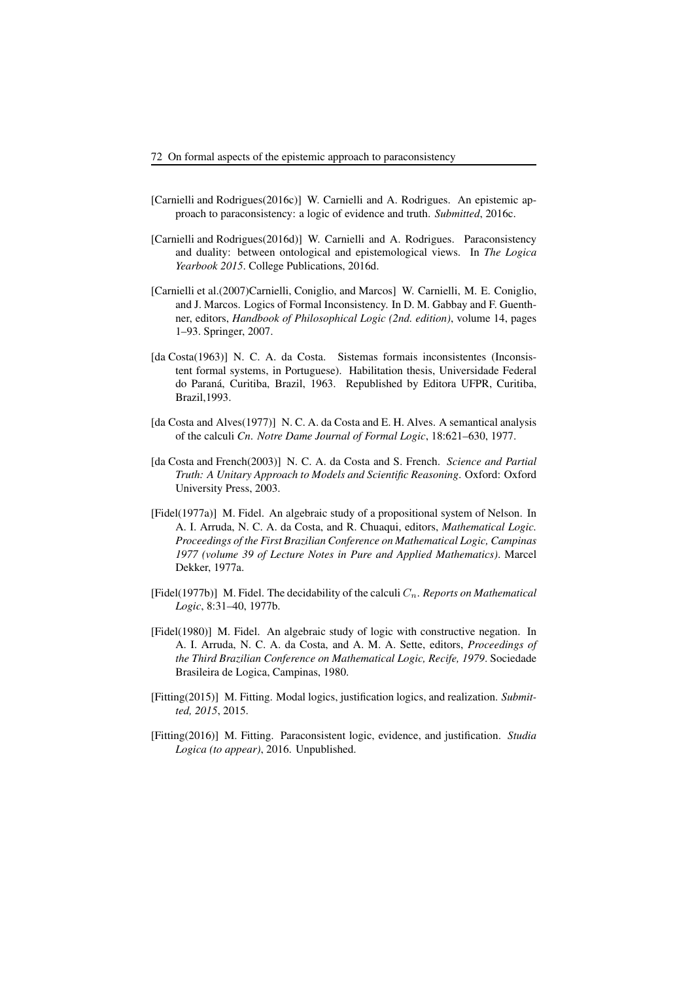- [Carnielli and Rodrigues(2016c)] W. Carnielli and A. Rodrigues. An epistemic approach to paraconsistency: a logic of evidence and truth. *Submitted*, 2016c.
- [Carnielli and Rodrigues(2016d)] W. Carnielli and A. Rodrigues. Paraconsistency and duality: between ontological and epistemological views. In *The Logica Yearbook 2015*. College Publications, 2016d.
- [Carnielli et al.(2007)Carnielli, Coniglio, and Marcos] W. Carnielli, M. E. Coniglio, and J. Marcos. Logics of Formal Inconsistency. In D. M. Gabbay and F. Guenthner, editors, *Handbook of Philosophical Logic (2nd. edition)*, volume 14, pages 1–93. Springer, 2007.
- [da Costa(1963)] N. C. A. da Costa. Sistemas formais inconsistentes (Inconsistent formal systems, in Portuguese). Habilitation thesis, Universidade Federal do Paraná, Curitiba, Brazil, 1963. Republished by Editora UFPR, Curitiba, Brazil,1993.
- [da Costa and Alves(1977)] N. C. A. da Costa and E. H. Alves. A semantical analysis of the calculi *Cn*. *Notre Dame Journal of Formal Logic*, 18:621–630, 1977.
- [da Costa and French(2003)] N. C. A. da Costa and S. French. *Science and Partial Truth: A Unitary Approach to Models and Scientific Reasoning*. Oxford: Oxford University Press, 2003.
- [Fidel(1977a)] M. Fidel. An algebraic study of a propositional system of Nelson. In A. I. Arruda, N. C. A. da Costa, and R. Chuaqui, editors, *Mathematical Logic. Proceedings of the First Brazilian Conference on Mathematical Logic, Campinas 1977 (volume 39 of Lecture Notes in Pure and Applied Mathematics)*. Marcel Dekker, 1977a.
- [Fidel(1977b)] M. Fidel. The decidability of the calculi  $C_n$ . *Reports on Mathematical Logic*, 8:31–40, 1977b.
- [Fidel(1980)] M. Fidel. An algebraic study of logic with constructive negation. In A. I. Arruda, N. C. A. da Costa, and A. M. A. Sette, editors, *Proceedings of the Third Brazilian Conference on Mathematical Logic, Recife, 1979*. Sociedade Brasileira de Logica, Campinas, 1980.
- [Fitting(2015)] M. Fitting. Modal logics, justification logics, and realization. *Submitted, 2015*, 2015.
- [Fitting(2016)] M. Fitting. Paraconsistent logic, evidence, and justification. *Studia Logica (to appear)*, 2016. Unpublished.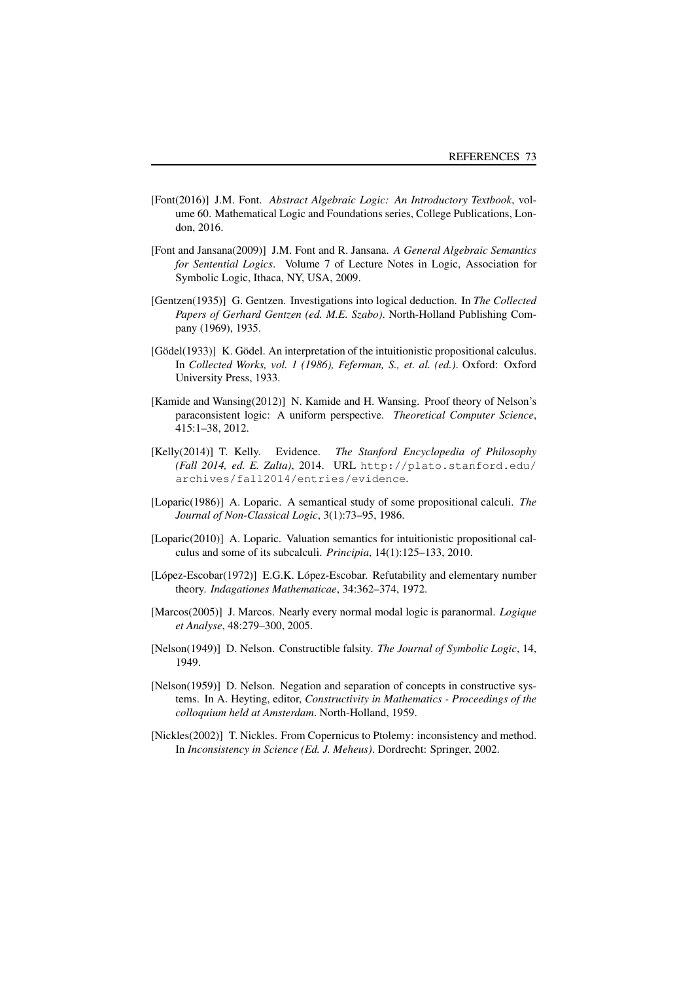- [Font(2016)] J.M. Font. *Abstract Algebraic Logic: An Introductory Textbook*, volume 60. Mathematical Logic and Foundations series, College Publications, London, 2016.
- [Font and Jansana(2009)] J.M. Font and R. Jansana. *A General Algebraic Semantics for Sentential Logics*. Volume 7 of Lecture Notes in Logic, Association for Symbolic Logic, Ithaca, NY, USA, 2009.
- [Gentzen(1935)] G. Gentzen. Investigations into logical deduction. In *The Collected Papers of Gerhard Gentzen (ed. M.E. Szabo)*. North-Holland Publishing Company (1969), 1935.
- [Gödel(1933)] K. Gödel. An interpretation of the intuitionistic propositional calculus. In *Collected Works, vol. 1 (1986), Feferman, S., et. al. (ed.)*. Oxford: Oxford University Press, 1933.
- [Kamide and Wansing(2012)] N. Kamide and H. Wansing. Proof theory of Nelson's paraconsistent logic: A uniform perspective. *Theoretical Computer Science*, 415:1–38, 2012.
- [Kelly(2014)] T. Kelly. Evidence. *The Stanford Encyclopedia of Philosophy (Fall 2014, ed. E. Zalta)*, 2014. URL http://plato.stanford.edu/ archives/fall2014/entries/evidence.
- [Loparic(1986)] A. Loparic. A semantical study of some propositional calculi. *The Journal of Non-Classical Logic*, 3(1):73–95, 1986.
- [Loparic(2010)] A. Loparic. Valuation semantics for intuitionistic propositional calculus and some of its subcalculi. *Principia*, 14(1):125–133, 2010.
- [López-Escobar(1972)] E.G.K. López-Escobar. Refutability and elementary number theory. *Indagationes Mathematicae*, 34:362–374, 1972.
- [Marcos(2005)] J. Marcos. Nearly every normal modal logic is paranormal. *Logique et Analyse*, 48:279–300, 2005.
- [Nelson(1949)] D. Nelson. Constructible falsity. *The Journal of Symbolic Logic*, 14, 1949.
- [Nelson(1959)] D. Nelson. Negation and separation of concepts in constructive systems. In A. Heyting, editor, *Constructivity in Mathematics - Proceedings of the colloquium held at Amsterdam*. North-Holland, 1959.
- [Nickles(2002)] T. Nickles. From Copernicus to Ptolemy: inconsistency and method. In *Inconsistency in Science (Ed. J. Meheus)*. Dordrecht: Springer, 2002.